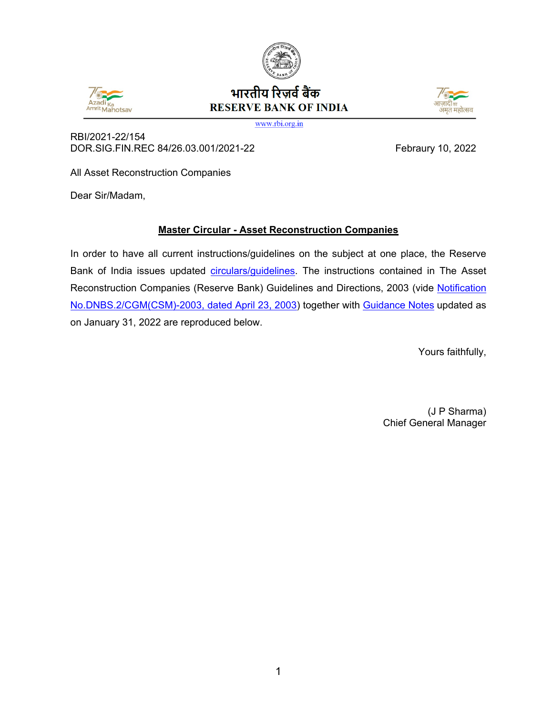



# भारतीय रिज़र्व बैंक **RESERVE BANK OF INDIA**



www.rbi.org.in

RBI/2021-22/154 DOR.SIG.FIN.REC 84/26.03.001/2021-22 Febraury 10, 2022

All Asset Reconstruction Companies

Dear Sir/Madam,

# **Master Circular - Asset Reconstruction Companies**

In order to have all current instructions/guidelines on the subject at one place, the Reserve Bank of India issues updated [circulars/guidelines.](#page-1-0) The instructions contained in The Asset Reconstruction Companies (Reserve Bank) Guidelines and Directions, 2003 (vide [Notification](https://www.rbi.org.in/Scripts/NotificationUser.aspx?Id=1145&Mode=0)  [No.DNBS.2/CGM\(CSM\)-2003, dated April 23, 2003\)](https://www.rbi.org.in/Scripts/NotificationUser.aspx?Id=1145&Mode=0) together with [Guidance Notes](#page-33-0) updated as on January 31, 2022 are reproduced below.

Yours faithfully,

(J P Sharma) Chief General Manager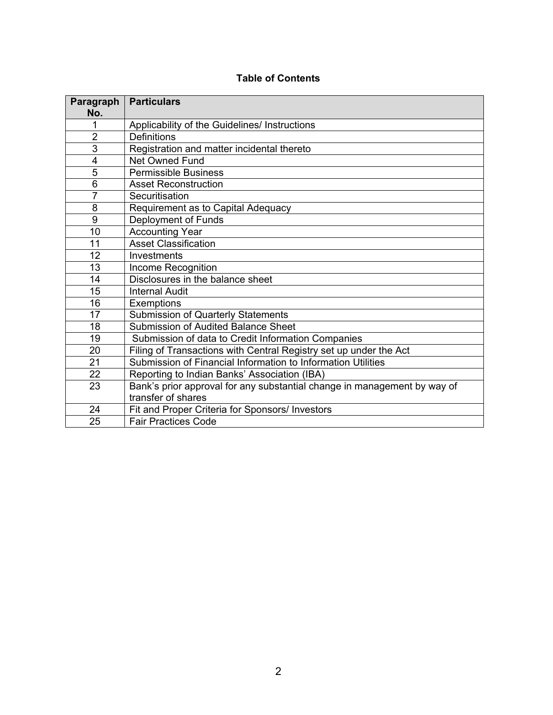| <b>Table of Contents</b> |  |  |  |
|--------------------------|--|--|--|
|--------------------------|--|--|--|

<span id="page-1-0"></span>

| Paragraph<br>No. | <b>Particulars</b>                                                       |
|------------------|--------------------------------------------------------------------------|
| 1                | Applicability of the Guidelines/ Instructions                            |
| $\overline{2}$   | <b>Definitions</b>                                                       |
| $\overline{3}$   | Registration and matter incidental thereto                               |
| $\overline{4}$   | <b>Net Owned Fund</b>                                                    |
| 5                | <b>Permissible Business</b>                                              |
| 6                | <b>Asset Reconstruction</b>                                              |
| $\overline{7}$   | Securitisation                                                           |
| 8                | Requirement as to Capital Adequacy                                       |
| 9                | Deployment of Funds                                                      |
| 10               | <b>Accounting Year</b>                                                   |
| 11               | <b>Asset Classification</b>                                              |
| 12               | Investments                                                              |
| 13               | Income Recognition                                                       |
| 14               | Disclosures in the balance sheet                                         |
| 15               | <b>Internal Audit</b>                                                    |
| 16               | <b>Exemptions</b>                                                        |
| 17               | Submission of Quarterly Statements                                       |
| 18               | <b>Submission of Audited Balance Sheet</b>                               |
| 19               | Submission of data to Credit Information Companies                       |
| 20               | Filing of Transactions with Central Registry set up under the Act        |
| 21               | Submission of Financial Information to Information Utilities             |
| 22               | Reporting to Indian Banks' Association (IBA)                             |
| 23               | Bank's prior approval for any substantial change in management by way of |
|                  | transfer of shares                                                       |
| 24               | Fit and Proper Criteria for Sponsors/ Investors                          |
| 25               | <b>Fair Practices Code</b>                                               |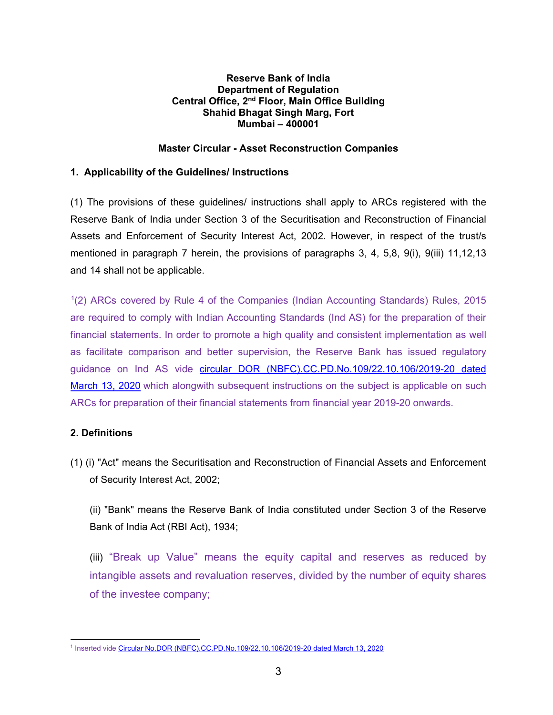### **Reserve Bank of India Department of Regulation Central Office, 2nd Floor, Main Office Building Shahid Bhagat Singh Marg, Fort Mumbai – 400001**

## **Master Circular - Asset Reconstruction Companies**

### **1. Applicability of the Guidelines/ Instructions**

(1) The provisions of these guidelines/ instructions shall apply to ARCs registered with the Reserve Bank of India under Section 3 of the Securitisation and Reconstruction of Financial Assets and Enforcement of Security Interest Act, 2002. However, in respect of the trust/s mentioned in paragraph 7 herein, the provisions of paragraphs 3, 4, 5,8, 9(i), 9(iii) 11,12,13 and 14 shall not be applicable.

[1](#page-2-0)(2) ARCs covered by Rule 4 of the Companies (Indian Accounting Standards) Rules, 2015 are required to comply with Indian Accounting Standards (Ind AS) for the preparation of their financial statements. In order to promote a high quality and consistent implementation as well as facilitate comparison and better supervision, the Reserve Bank has issued regulatory guidance on Ind AS vide circular [DOR \(NBFC\).CC.PD.No.109/22.10.106/2019-20 dated](https://www.rbi.org.in/scripts/FS_Notification.aspx?Id=11818&fn=14&Mode=0)  [March 13, 2020](https://www.rbi.org.in/scripts/FS_Notification.aspx?Id=11818&fn=14&Mode=0) which alongwith subsequent instructions on the subject is applicable on such ARCs for preparation of their financial statements from financial year 2019-20 onwards.

# **2. Definitions**

(1) (i) "Act" means the Securitisation and Reconstruction of Financial Assets and Enforcement of Security Interest Act, 2002;

(ii) "Bank" means the Reserve Bank of India constituted under Section 3 of the Reserve Bank of India Act (RBI Act), 1934;

(iii) "Break up Value" means the equity capital and reserves as reduced by intangible assets and revaluation reserves, divided by the number of equity shares of the investee company;

<span id="page-2-0"></span><sup>&</sup>lt;sup>1</sup> Inserted vide [Circular No.DOR \(NBFC\).CC.PD.No.109/22.10.106/2019-20 dated March 13, 2020](https://www.rbi.org.in/scripts/FS_Notification.aspx?Id=11818&fn=14&Mode=0)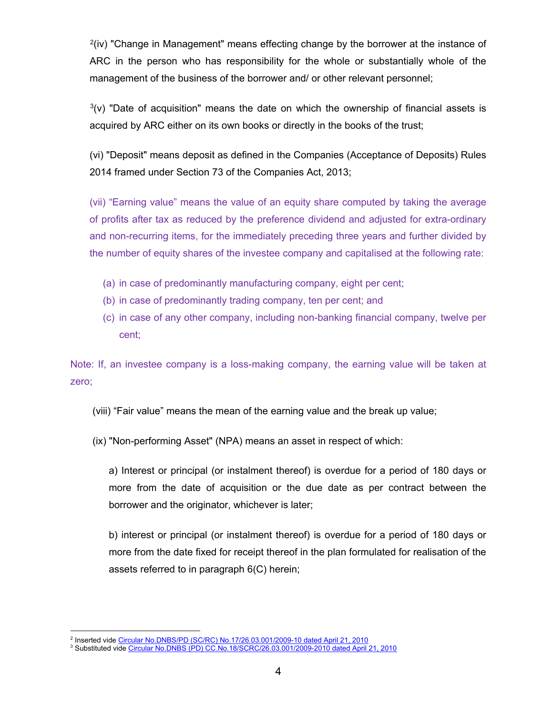$2(iv)$  $2(iv)$  "Change in Management" means effecting change by the borrower at the instance of ARC in the person who has responsibility for the whole or substantially whole of the management of the business of the borrower and/ or other relevant personnel;

 $3(v)$  $3(v)$  "Date of acquisition" means the date on which the ownership of financial assets is acquired by ARC either on its own books or directly in the books of the trust;

(vi) "Deposit" means deposit as defined in the Companies (Acceptance of Deposits) Rules 2014 framed under Section 73 of the Companies Act, 2013;

(vii) "Earning value" means the value of an equity share computed by taking the average of profits after tax as reduced by the preference dividend and adjusted for extra-ordinary and non-recurring items, for the immediately preceding three years and further divided by the number of equity shares of the investee company and capitalised at the following rate:

- (a) in case of predominantly manufacturing company, eight per cent;
- (b) in case of predominantly trading company, ten per cent; and
- (c) in case of any other company, including non-banking financial company, twelve per cent;

Note: If, an investee company is a loss-making company, the earning value will be taken at zero;

- (viii) "Fair value" means the mean of the earning value and the break up value;
- (ix) "Non-performing Asset" (NPA) means an asset in respect of which:

a) Interest or principal (or instalment thereof) is overdue for a period of 180 days or more from the date of acquisition or the due date as per contract between the borrower and the originator, whichever is later;

b) interest or principal (or instalment thereof) is overdue for a period of 180 days or more from the date fixed for receipt thereof in the plan formulated for realisation of the assets referred to in paragraph 6(C) herein;

 <sup>2</sup> Inserted vide [Circular No.DNBS/PD \(SC/RC\) No.17/26.03.001/2009-10](https://www.rbi.org.in/Scripts/NotificationUser.aspx?Id=5616&Mode=0) dated April 21, 2010

<span id="page-3-1"></span><span id="page-3-0"></span><sup>&</sup>lt;sup>3</sup> Substituted vide <u>Circular No.DNBS (PD) CC.No.18/SCRC/26.03.001/2009-2010 dated April 21, 2010</u>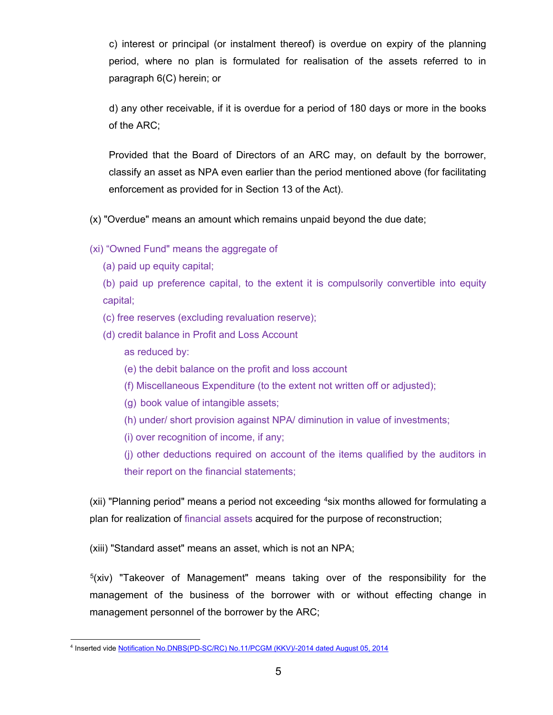c) interest or principal (or instalment thereof) is overdue on expiry of the planning period, where no plan is formulated for realisation of the assets referred to in paragraph 6(C) herein; or

 d) any other receivable, if it is overdue for a period of 180 days or more in the books of the ARC;

Provided that the Board of Directors of an ARC may, on default by the borrower, classify an asset as NPA even earlier than the period mentioned above (for facilitating enforcement as provided for in Section 13 of the Act).

(x) "Overdue" means an amount which remains unpaid beyond the due date;

(xi) "Owned Fund" means the aggregate of

(a) paid up equity capital;

(b) paid up preference capital, to the extent it is compulsorily convertible into equity capital;

(c) free reserves (excluding revaluation reserve);

- (d) credit balance in Profit and Loss Account
	- as reduced by:
	- (e) the debit balance on the profit and loss account
	- (f) Miscellaneous Expenditure (to the extent not written off or adjusted);
	- (g) book value of intangible assets;
	- (h) under/ short provision against NPA/ diminution in value of investments;
	- (i) over recognition of income, if any;

(j) other deductions required on account of the items qualified by the auditors in their report on the financial statements;

(xii) "Planning period" means a period not exceeding <sup>4</sup>six months allowed for formulating a plan for realization of financial assets acquired for the purpose of reconstruction;

(xiii) "Standard asset" means an asset, which is not an NPA;

 $5(xiv)$  $5(xiv)$  "Takeover of Management" means taking over of the responsibility for the management of the business of the borrower with or without effecting change in management personnel of the borrower by the ARC;

<span id="page-4-1"></span><span id="page-4-0"></span> <sup>4</sup> Inserted vide [Notification No.DNBS\(PD-SC/RC\) No.11/PCGM \(KKV\)/-2014 dated August 05, 2014](https://www.rbi.org.in/scripts/FS_Notification.aspx?Id=9154&fn=14&Mode=0#S1)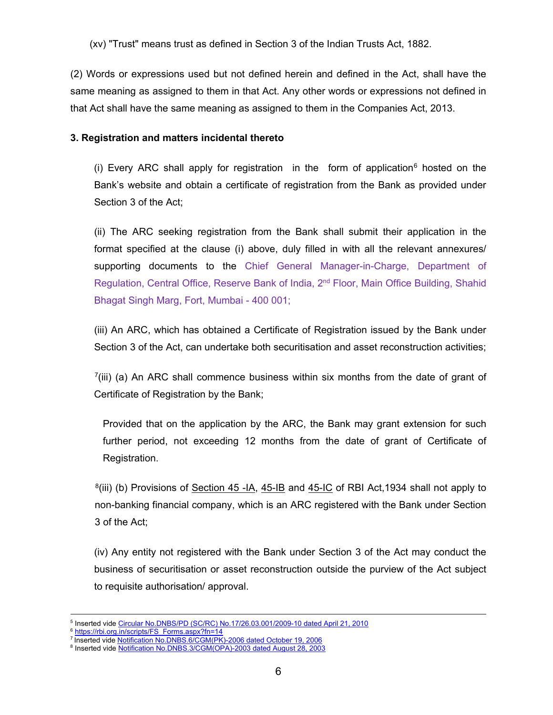(xv) "Trust" means trust as defined in Section 3 of the Indian Trusts Act, 1882.

(2) Words or expressions used but not defined herein and defined in the Act, shall have the same meaning as assigned to them in that Act. Any other words or expressions not defined in that Act shall have the same meaning as assigned to them in the Companies Act, 2013.

### **3. Registration and matters incidental thereto**

(i) Every ARC shall apply for registration in the form of application<sup>[6](#page-5-0)</sup> hosted on the Bank's website and obtain a certificate of registration from the Bank as provided under Section 3 of the Act;

(ii) The ARC seeking registration from the Bank shall submit their application in the format specified at the clause (i) above, duly filled in with all the relevant annexures/ supporting documents to the Chief General Manager-in-Charge, Department of Regulation, Central Office, Reserve Bank of India, 2<sup>nd</sup> Floor, Main Office Building, Shahid Bhagat Singh Marg, Fort, Mumbai - 400 001;

(iii) An ARC, which has obtained a Certificate of Registration issued by the Bank under Section 3 of the Act, can undertake both securitisation and asset reconstruction activities;

 $<sup>7</sup>(iii)$  (a) An ARC shall commence business within six months from the date of grant of</sup> Certificate of Registration by the Bank;

Provided that on the application by the ARC, the Bank may grant extension for such further period, not exceeding 12 months from the date of grant of Certificate of Registration.

 $<sup>8</sup>(iii)$  $<sup>8</sup>(iii)$  $<sup>8</sup>(iii)$  (b) Provisions of Section 45 -IA, 45-IB and 45-IC of RBI Act, 1934 shall not apply to</sup> non-banking financial company, which is an ARC registered with the Bank under Section 3 of the Act;

(iv) Any entity not registered with the Bank under Section 3 of the Act may conduct the business of securitisation or asset reconstruction outside the purview of the Act subject to requisite authorisation/ approval.

<sup>&</sup>lt;sup>5</sup> Inserted vide [Circular No.DNBS/PD \(SC/RC\) No.17/26.03.001/2009-10](https://www.rbi.org.in/Scripts/NotificationUser.aspx?Id=5616&Mode=0) dated April 21, 2010

<span id="page-5-1"></span><span id="page-5-0"></span><sup>6</sup> [https://rbi.org.in/scripts/FS\\_Forms.aspx?fn=14](https://rbi.org.in/scripts/FS_Forms.aspx?fn=14)

<sup>&</sup>lt;sup>7</sup> Inserted vide <u>Notification No.DNBS.6/CGM(PK)-2006 dated October 19, 2006</u>

<span id="page-5-2"></span><sup>&</sup>lt;sup>8</sup> Inserted vide [Notification No.DNBS.3/CGM\(OPA\)-2003 dated August 28, 2003](https://www.rbi.org.in/Scripts/NotificationUser.aspx?Id=1317&Mode=0)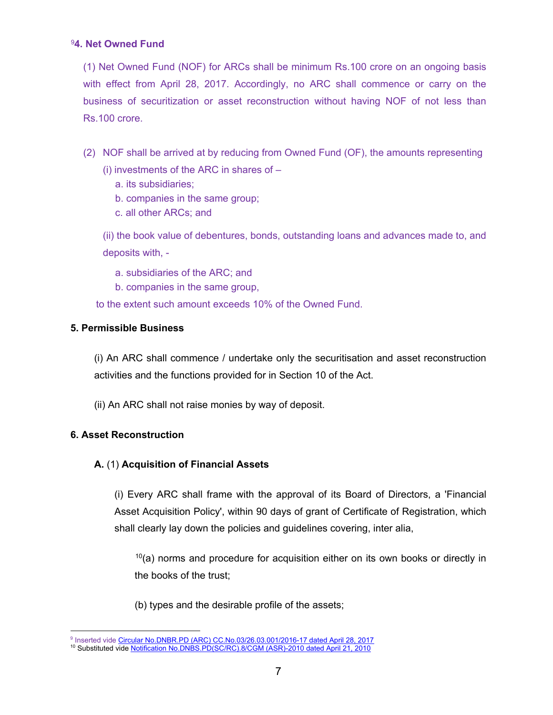# [9](#page-6-0)**4. Net Owned Fund**

(1) Net Owned Fund (NOF) for ARCs shall be minimum Rs.100 crore on an ongoing basis with effect from April 28, 2017. Accordingly, no ARC shall commence or carry on the business of securitization or asset reconstruction without having NOF of not less than Rs.100 crore.

- (2) NOF shall be arrived at by reducing from Owned Fund (OF), the amounts representing
	- (i) investments of the ARC in shares of
		- a. its subsidiaries;
		- b. companies in the same group;
		- c. all other ARCs; and

(ii) the book value of debentures, bonds, outstanding loans and advances made to, and deposits with, -

- a. subsidiaries of the ARC; and
- b. companies in the same group,

to the extent such amount exceeds 10% of the Owned Fund.

# **5. Permissible Business**

(i) An ARC shall commence / undertake only the securitisation and asset reconstruction activities and the functions provided for in Section 10 of the Act.

(ii) An ARC shall not raise monies by way of deposit.

# **6. Asset Reconstruction**

# **A.** (1) **Acquisition of Financial Assets**

(i) Every ARC shall frame with the approval of its Board of Directors, a 'Financial Asset Acquisition Policy', within 90 days of grant of Certificate of Registration, which shall clearly lay down the policies and guidelines covering, inter alia,

 $10(a)$  $10(a)$  norms and procedure for acquisition either on its own books or directly in the books of the trust;

(b) types and the desirable profile of the assets;

<span id="page-6-1"></span><span id="page-6-0"></span> <sup>9</sup> Inserted vide [Circular No.DNBR.PD \(ARC\) CC.No.03/26.03.001/2016-17 dated April 28, 2017](https://www.rbi.org.in/scripts/FS_Notification.aspx?Id=10949&fn=14&Mode=0) <sup>10</sup> Substituted vide [Notification No.DNBS.PD\(SC/RC\).8/CGM \(ASR\)-2010 dated April 21, 2010](https://www.rbi.org.in/Scripts/NotificationUser.aspx?Id=5614&Mode=0#R)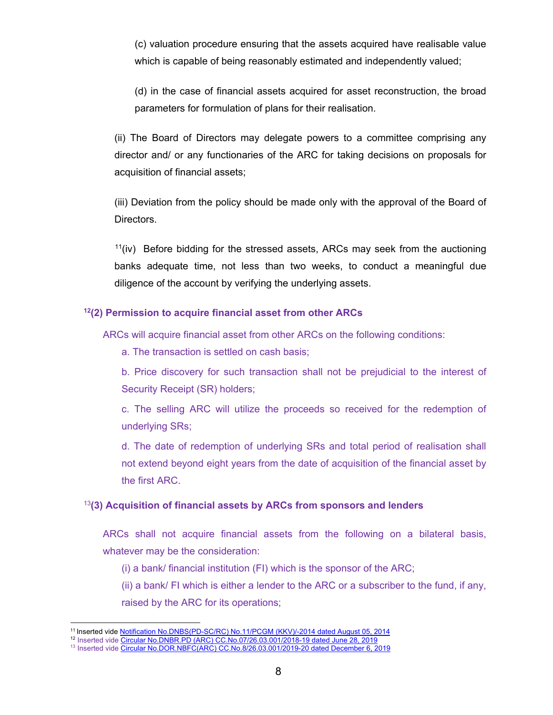(c) valuation procedure ensuring that the assets acquired have realisable value which is capable of being reasonably estimated and independently valued;

(d) in the case of financial assets acquired for asset reconstruction, the broad parameters for formulation of plans for their realisation.

(ii) The Board of Directors may delegate powers to a committee comprising any director and/ or any functionaries of the ARC for taking decisions on proposals for acquisition of financial assets;

(iii) Deviation from the policy should be made only with the approval of the Board of Directors.

 $11$ (iv) Before bidding for the stressed assets, ARCs may seek from the auctioning banks adequate time, not less than two weeks, to conduct a meaningful due diligence of the account by verifying the underlying assets.

### **[12\(](#page-7-1)2) Permission to acquire financial asset from other ARCs**

ARCs will acquire financial asset from other ARCs on the following conditions:

a. The transaction is settled on cash basis;

b. Price discovery for such transaction shall not be prejudicial to the interest of Security Receipt (SR) holders;

c. The selling ARC will utilize the proceeds so received for the redemption of underlying SRs;

d. The date of redemption of underlying SRs and total period of realisation shall not extend beyond eight years from the date of acquisition of the financial asset by the first ARC.

### [13](#page-7-2)**(3) Acquisition of financial assets by ARCs from sponsors and lenders**

ARCs shall not acquire financial assets from the following on a bilateral basis, whatever may be the consideration:

(i) a bank/ financial institution (FI) which is the sponsor of the ARC;

(ii) a bank/ FI which is either a lender to the ARC or a subscriber to the fund, if any, raised by the ARC for its operations;

 <sup>11</sup> Inserted vide [Notification No.DNBS\(PD-SC/RC\) No.11/PCGM \(KKV\)/-2014 dated August 05, 2014](https://www.rbi.org.in/scripts/FS_Notification.aspx?Id=9154&fn=14&Mode=0#S1)

<span id="page-7-1"></span><span id="page-7-0"></span><sup>&</sup>lt;sup>12</sup> Inserted vide <u>Circular No.DNBR.PD (ARC) CC.No.07/26.03.001/2018-19 dated June 28, 2019</u>

<span id="page-7-2"></span><sup>&</sup>lt;sup>13</sup> Inserted vide <u>Circular No.DOR.NBFC(ARC) CC.No.8/26.03.001/2019-20 dated December 6, 2019</u>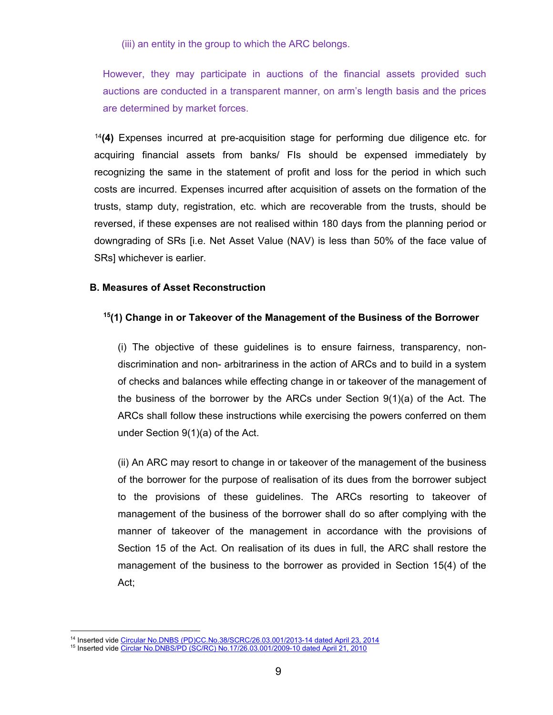(iii) an entity in the group to which the ARC belongs.

However, they may participate in auctions of the financial assets provided such auctions are conducted in a transparent manner, on arm's length basis and the prices are determined by market forces.

[14](#page-8-0)**(4)** Expenses incurred at pre-acquisition stage for performing due diligence etc. for acquiring financial assets from banks/ FIs should be expensed immediately by recognizing the same in the statement of profit and loss for the period in which such costs are incurred. Expenses incurred after acquisition of assets on the formation of the trusts, stamp duty, registration, etc. which are recoverable from the trusts, should be reversed, if these expenses are not realised within 180 days from the planning period or downgrading of SRs [i.e. Net Asset Value (NAV) is less than 50% of the face value of SRs] whichever is earlier.

### **B. Measures of Asset Reconstruction**

### **[15](#page-8-1)(1) Change in or Takeover of the Management of the Business of the Borrower**

(i) The objective of these guidelines is to ensure fairness, transparency, nondiscrimination and non- arbitrariness in the action of ARCs and to build in a system of checks and balances while effecting change in or takeover of the management of the business of the borrower by the ARCs under Section 9(1)(a) of the Act. The ARCs shall follow these instructions while exercising the powers conferred on them under Section 9(1)(a) of the Act.

(ii) An ARC may resort to change in or takeover of the management of the business of the borrower for the purpose of realisation of its dues from the borrower subject to the provisions of these guidelines. The ARCs resorting to takeover of management of the business of the borrower shall do so after complying with the manner of takeover of the management in accordance with the provisions of Section 15 of the Act. On realisation of its dues in full, the ARC shall restore the management of the business to the borrower as provided in Section 15(4) of the Act;

 <sup>14</sup> Inserted vide [Circular No.DNBS \(PD\)CC.No.38/SCRC/26.03.001/2013-14 dated April 23, 2014](https://www.rbi.org.in/scripts/FS_Notification.aspx?Id=8849&fn=14&Mode=0)

<span id="page-8-1"></span><span id="page-8-0"></span><sup>15</sup> Inserted vide [Circlar No.DNBS/PD \(SC/RC\) No.17/26.03.001/2009-10 dated April 21, 2010](https://www.rbi.org.in/Scripts/NotificationUser.aspx?Id=5616&Mode=0)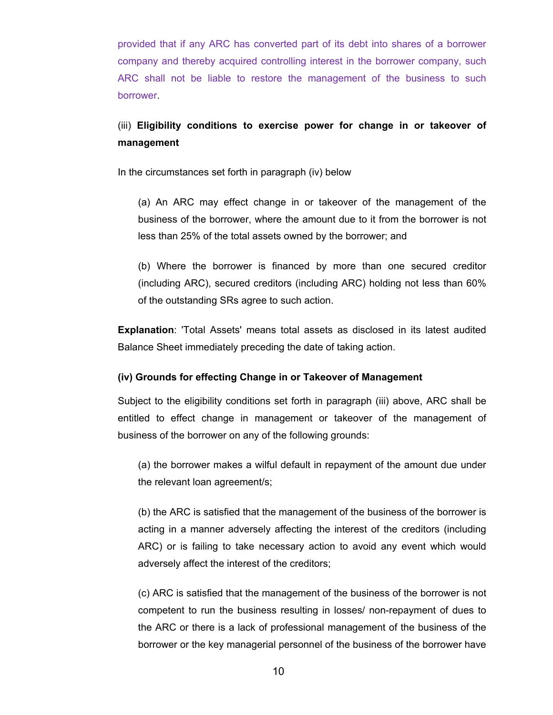provided that if any ARC has converted part of its debt into shares of a borrower company and thereby acquired controlling interest in the borrower company, such ARC shall not be liable to restore the management of the business to such borrower.

# (iii) **Eligibility conditions to exercise power for change in or takeover of management**

In the circumstances set forth in paragraph (iv) below

(a) An ARC may effect change in or takeover of the management of the business of the borrower, where the amount due to it from the borrower is not less than 25% of the total assets owned by the borrower; and

(b) Where the borrower is financed by more than one secured creditor (including ARC), secured creditors (including ARC) holding not less than 60% of the outstanding SRs agree to such action.

**Explanation**: 'Total Assets' means total assets as disclosed in its latest audited Balance Sheet immediately preceding the date of taking action.

### **(iv) Grounds for effecting Change in or Takeover of Management**

Subject to the eligibility conditions set forth in paragraph (iii) above, ARC shall be entitled to effect change in management or takeover of the management of business of the borrower on any of the following grounds:

(a) the borrower makes a wilful default in repayment of the amount due under the relevant loan agreement/s;

(b) the ARC is satisfied that the management of the business of the borrower is acting in a manner adversely affecting the interest of the creditors (including ARC) or is failing to take necessary action to avoid any event which would adversely affect the interest of the creditors;

(c) ARC is satisfied that the management of the business of the borrower is not competent to run the business resulting in losses/ non-repayment of dues to the ARC or there is a lack of professional management of the business of the borrower or the key managerial personnel of the business of the borrower have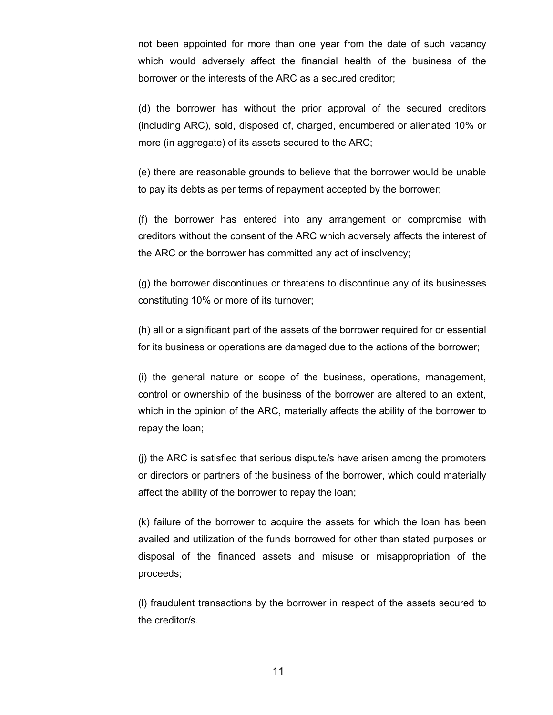not been appointed for more than one year from the date of such vacancy which would adversely affect the financial health of the business of the borrower or the interests of the ARC as a secured creditor;

(d) the borrower has without the prior approval of the secured creditors (including ARC), sold, disposed of, charged, encumbered or alienated 10% or more (in aggregate) of its assets secured to the ARC;

(e) there are reasonable grounds to believe that the borrower would be unable to pay its debts as per terms of repayment accepted by the borrower;

(f) the borrower has entered into any arrangement or compromise with creditors without the consent of the ARC which adversely affects the interest of the ARC or the borrower has committed any act of insolvency;

(g) the borrower discontinues or threatens to discontinue any of its businesses constituting 10% or more of its turnover;

(h) all or a significant part of the assets of the borrower required for or essential for its business or operations are damaged due to the actions of the borrower;

(i) the general nature or scope of the business, operations, management, control or ownership of the business of the borrower are altered to an extent, which in the opinion of the ARC, materially affects the ability of the borrower to repay the loan;

(j) the ARC is satisfied that serious dispute/s have arisen among the promoters or directors or partners of the business of the borrower, which could materially affect the ability of the borrower to repay the loan;

(k) failure of the borrower to acquire the assets for which the loan has been availed and utilization of the funds borrowed for other than stated purposes or disposal of the financed assets and misuse or misappropriation of the proceeds;

(l) fraudulent transactions by the borrower in respect of the assets secured to the creditor/s.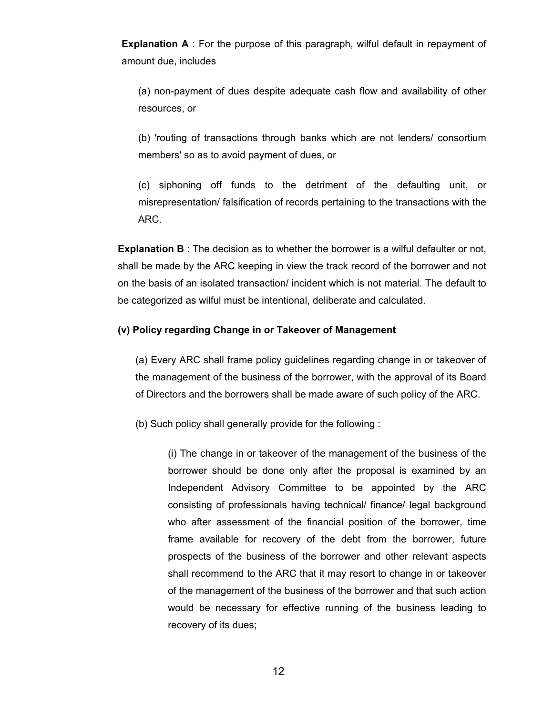**Explanation A** : For the purpose of this paragraph, wilful default in repayment of amount due, includes

(a) non-payment of dues despite adequate cash flow and availability of other resources, or

(b) 'routing of transactions through banks which are not lenders/ consortium members' so as to avoid payment of dues, or

(c) siphoning off funds to the detriment of the defaulting unit, or misrepresentation/ falsification of records pertaining to the transactions with the ARC.

**Explanation B** : The decision as to whether the borrower is a wilful defaulter or not, shall be made by the ARC keeping in view the track record of the borrower and not on the basis of an isolated transaction/ incident which is not material. The default to be categorized as wilful must be intentional, deliberate and calculated.

#### **(v) Policy regarding Change in or Takeover of Management**

(a) Every ARC shall frame policy guidelines regarding change in or takeover of the management of the business of the borrower, with the approval of its Board of Directors and the borrowers shall be made aware of such policy of the ARC.

(b) Such policy shall generally provide for the following :

(i) The change in or takeover of the management of the business of the borrower should be done only after the proposal is examined by an Independent Advisory Committee to be appointed by the ARC consisting of professionals having technical/ finance/ legal background who after assessment of the financial position of the borrower, time frame available for recovery of the debt from the borrower, future prospects of the business of the borrower and other relevant aspects shall recommend to the ARC that it may resort to change in or takeover of the management of the business of the borrower and that such action would be necessary for effective running of the business leading to recovery of its dues;

12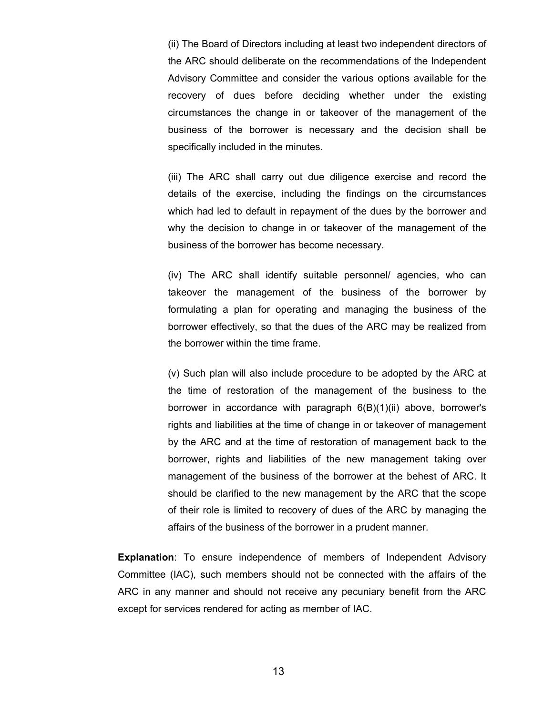(ii) The Board of Directors including at least two independent directors of the ARC should deliberate on the recommendations of the Independent Advisory Committee and consider the various options available for the recovery of dues before deciding whether under the existing circumstances the change in or takeover of the management of the business of the borrower is necessary and the decision shall be specifically included in the minutes.

(iii) The ARC shall carry out due diligence exercise and record the details of the exercise, including the findings on the circumstances which had led to default in repayment of the dues by the borrower and why the decision to change in or takeover of the management of the business of the borrower has become necessary.

(iv) The ARC shall identify suitable personnel/ agencies, who can takeover the management of the business of the borrower by formulating a plan for operating and managing the business of the borrower effectively, so that the dues of the ARC may be realized from the borrower within the time frame.

(v) Such plan will also include procedure to be adopted by the ARC at the time of restoration of the management of the business to the borrower in accordance with paragraph 6(B)(1)(ii) above, borrower's rights and liabilities at the time of change in or takeover of management by the ARC and at the time of restoration of management back to the borrower, rights and liabilities of the new management taking over management of the business of the borrower at the behest of ARC. It should be clarified to the new management by the ARC that the scope of their role is limited to recovery of dues of the ARC by managing the affairs of the business of the borrower in a prudent manner.

**Explanation**: To ensure independence of members of Independent Advisory Committee (IAC), such members should not be connected with the affairs of the ARC in any manner and should not receive any pecuniary benefit from the ARC except for services rendered for acting as member of IAC.

13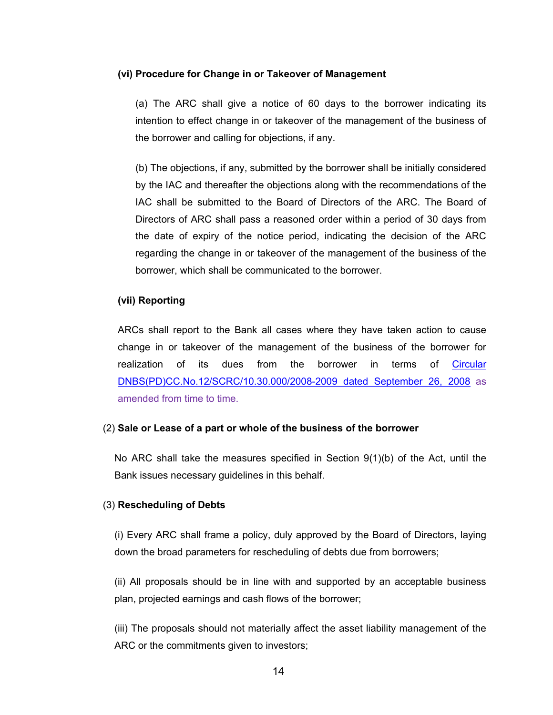#### **(vi) Procedure for Change in or Takeover of Management**

(a) The ARC shall give a notice of 60 days to the borrower indicating its intention to effect change in or takeover of the management of the business of the borrower and calling for objections, if any.

(b) The objections, if any, submitted by the borrower shall be initially considered by the IAC and thereafter the objections along with the recommendations of the IAC shall be submitted to the Board of Directors of the ARC. The Board of Directors of ARC shall pass a reasoned order within a period of 30 days from the date of expiry of the notice period, indicating the decision of the ARC regarding the change in or takeover of the management of the business of the borrower, which shall be communicated to the borrower.

#### **(vii) Reporting**

ARCs shall report to the Bank all cases where they have taken action to cause change in or takeover of the management of the business of the borrower for realization of its dues from the borrower in terms of <u>Circular</u> [DNBS\(PD\)CC.No.12/SCRC/10.30.000/2008-2009 dated September 26, 2008](https://www.rbi.org.in/scripts/FS_Notification.aspx?Id=4504&fn=14&Mode=0) as amended from time to time.

#### (2) **Sale or Lease of a part or whole of the business of the borrower**

No ARC shall take the measures specified in Section  $9(1)(b)$  of the Act, until the Bank issues necessary guidelines in this behalf.

#### (3) **Rescheduling of Debts**

(i) Every ARC shall frame a policy, duly approved by the Board of Directors, laying down the broad parameters for rescheduling of debts due from borrowers;

(ii) All proposals should be in line with and supported by an acceptable business plan, projected earnings and cash flows of the borrower;

(iii) The proposals should not materially affect the asset liability management of the ARC or the commitments given to investors;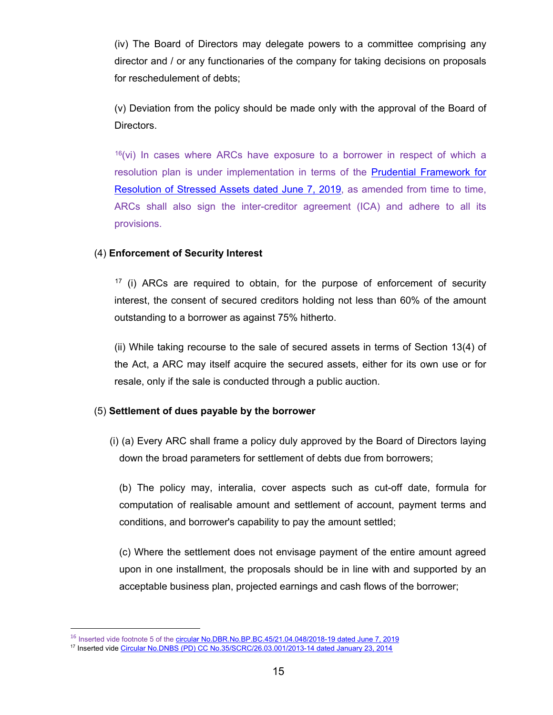(iv) The Board of Directors may delegate powers to a committee comprising any director and / or any functionaries of the company for taking decisions on proposals for reschedulement of debts;

(v) Deviation from the policy should be made only with the approval of the Board of Directors.

 $16$ (vi) In cases where ARCs have exposure to a borrower in respect of which a resolution plan is under implementation in terms of the [Prudential Framework for](https://www.rbi.org.in/Scripts/NotificationUser.aspx?Id=11580&Mode=0)  [Resolution of Stressed Assets dated June 7, 2019,](https://www.rbi.org.in/Scripts/NotificationUser.aspx?Id=11580&Mode=0) as amended from time to time, ARCs shall also sign the inter-creditor agreement (ICA) and adhere to all its provisions.

# (4) **Enforcement of Security Interest**

 $17$  (i) ARCs are required to obtain, for the purpose of enforcement of security interest, the consent of secured creditors holding not less than 60% of the amount outstanding to a borrower as against 75% hitherto.

(ii) While taking recourse to the sale of secured assets in terms of Section 13(4) of the Act, a ARC may itself acquire the secured assets, either for its own use or for resale, only if the sale is conducted through a public auction.

### (5) **Settlement of dues payable by the borrower**

(i) (a) Every ARC shall frame a policy duly approved by the Board of Directors laying down the broad parameters for settlement of debts due from borrowers;

(b) The policy may, interalia, cover aspects such as cut-off date, formula for computation of realisable amount and settlement of account, payment terms and conditions, and borrower's capability to pay the amount settled;

(c) Where the settlement does not envisage payment of the entire amount agreed upon in one installment, the proposals should be in line with and supported by an acceptable business plan, projected earnings and cash flows of the borrower;

 $\overline{a}$ 

<span id="page-14-0"></span><sup>&</sup>lt;sup>16</sup> Inserted vide footnote 5 of the [circular No.DBR.No.BP.BC.45/21.04.048/2018-19 dated June 7, 2019](https://www.rbi.org.in/Scripts/NotificationUser.aspx?Id=11580&Mode=0)

<span id="page-14-1"></span><sup>17</sup> Inserted vide [Circular No.DNBS \(PD\) CC No.35/SCRC/26.03.001/2013-14 dated January 23, 2014](https://www.rbi.org.in/scripts/FS_Notification.aspx?Id=8707&fn=14&Mode=0)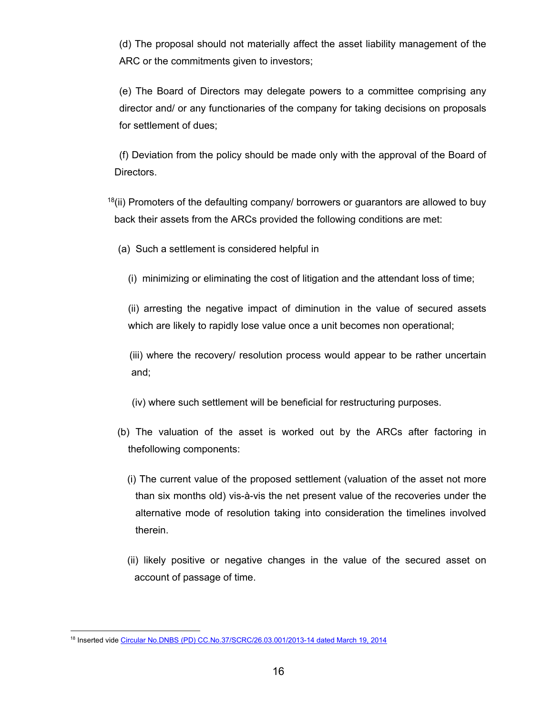(d) The proposal should not materially affect the asset liability management of the ARC or the commitments given to investors;

(e) The Board of Directors may delegate powers to a committee comprising any director and/ or any functionaries of the company for taking decisions on proposals for settlement of dues;

(f) Deviation from the policy should be made only with the approval of the Board of Directors.

 $18$ (ii) Promoters of the defaulting company/ borrowers or guarantors are allowed to buy back their assets from the ARCs provided the following conditions are met:

(a) Such a settlement is considered helpful in

(i) minimizing or eliminating the cost of litigation and the attendant loss of time;

(ii) arresting the negative impact of diminution in the value of secured assets which are likely to rapidly lose value once a unit becomes non operational;

 (iii) where the recovery/ resolution process would appear to be rather uncertain and;

(iv) where such settlement will be beneficial for restructuring purposes.

- (b) The valuation of the asset is worked out by the ARCs after factoring in thefollowing components:
	- (i) The current value of the proposed settlement (valuation of the asset not more than six months old) vis-à-vis the net present value of the recoveries under the alternative mode of resolution taking into consideration the timelines involved therein.
	- (ii) likely positive or negative changes in the value of the secured asset on account of passage of time.

<span id="page-15-0"></span><sup>&</sup>lt;sup>18</sup> Inserted vide [Circular No.DNBS \(PD\) CC.No.37/SCRC/26.03.001/2013-14 dated March 19, 2014](https://www.rbi.org.in/scripts/FS_Notification.aspx?Id=8776&fn=14&Mode=0)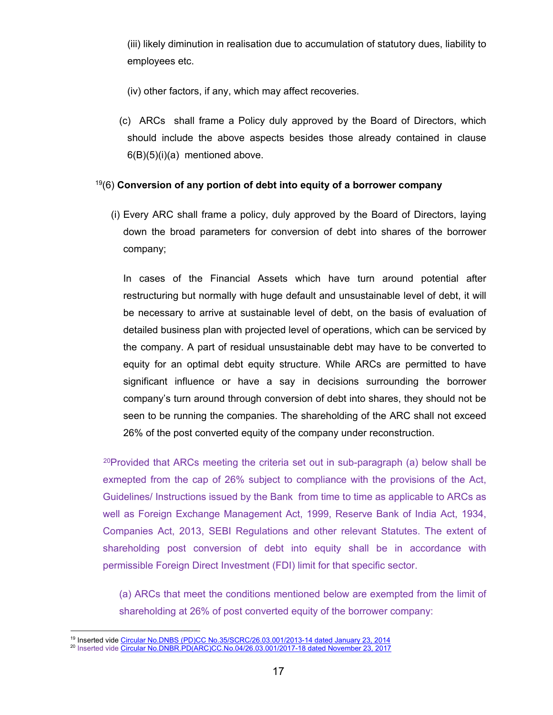(iii) likely diminution in realisation due to accumulation of statutory dues, liability to employees etc.

(iv) other factors, if any, which may affect recoveries.

(c) ARCs shall frame a Policy duly approved by the Board of Directors, which should include the above aspects besides those already contained in clause  $6(B)(5)(i)(a)$  mentioned above.

### [19](#page-16-0)(6) **Conversion of any portion of debt into equity of a borrower company**

(i) Every ARC shall frame a policy, duly approved by the Board of Directors, laying down the broad parameters for conversion of debt into shares of the borrower company;

In cases of the Financial Assets which have turn around potential after restructuring but normally with huge default and unsustainable level of debt, it will be necessary to arrive at sustainable level of debt, on the basis of evaluation of detailed business plan with projected level of operations, which can be serviced by the company. A part of residual unsustainable debt may have to be converted to equity for an optimal debt equity structure. While ARCs are permitted to have significant influence or have a say in decisions surrounding the borrower company's turn around through conversion of debt into shares, they should not be seen to be running the companies. The shareholding of the ARC shall not exceed 26% of the post converted equity of the company under reconstruction.

<sup>[20](#page-16-1)</sup>Provided that ARCs meeting the criteria set out in sub-paragraph (a) below shall be exmepted from the cap of 26% subject to compliance with the provisions of the Act, Guidelines/ Instructions issued by the Bank from time to time as applicable to ARCs as well as Foreign Exchange Management Act, 1999, Reserve Bank of India Act, 1934, Companies Act, 2013, SEBI Regulations and other relevant Statutes. The extent of shareholding post conversion of debt into equity shall be in accordance with permissible Foreign Direct Investment (FDI) limit for that specific sector.

(a) ARCs that meet the conditions mentioned below are exempted from the limit of shareholding at 26% of post converted equity of the borrower company:

 <sup>19</sup> Inserted vide [Circular No.DNBS \(PD\)CC No.35/SCRC/26.03.001/2013-14 dated January 23, 2014](https://www.rbi.org.in/scripts/FS_Notification.aspx?Id=8707&fn=14&Mode=0)

<span id="page-16-1"></span><span id="page-16-0"></span><sup>&</sup>lt;sup>20</sup> Inserted vide <u>Circular No.DNBR.PD(ARC)CC.No.04/26.03.001/2017-18 dated November 23, 2017</u>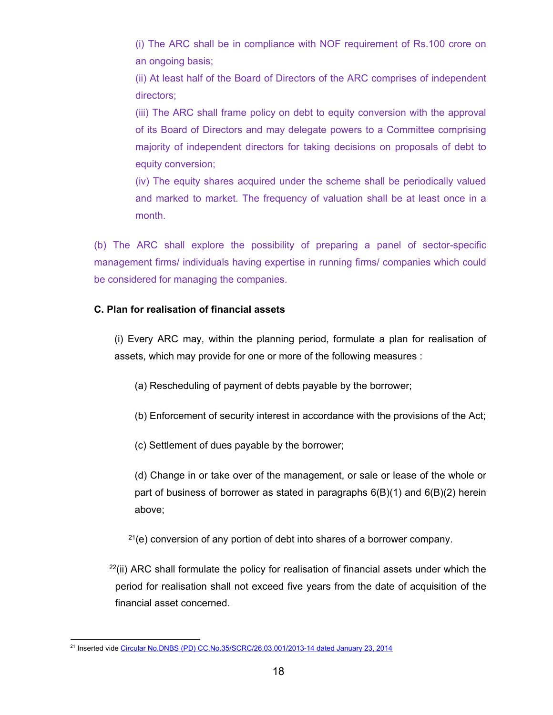(i) The ARC shall be in compliance with NOF requirement of Rs.100 crore on an ongoing basis;

(ii) At least half of the Board of Directors of the ARC comprises of independent directors;

(iii) The ARC shall frame policy on debt to equity conversion with the approval of its Board of Directors and may delegate powers to a Committee comprising majority of independent directors for taking decisions on proposals of debt to equity conversion;

(iv) The equity shares acquired under the scheme shall be periodically valued and marked to market. The frequency of valuation shall be at least once in a month.

(b) The ARC shall explore the possibility of preparing a panel of sector-specific management firms/ individuals having expertise in running firms/ companies which could be considered for managing the companies.

# **C. Plan for realisation of financial assets**

(i) Every ARC may, within the planning period, formulate a plan for realisation of assets, which may provide for one or more of the following measures :

- (a) Rescheduling of payment of debts payable by the borrower;
- (b) Enforcement of security interest in accordance with the provisions of the Act;
- (c) Settlement of dues payable by the borrower;

(d) Change in or take over of the management, or sale or lease of the whole or part of business of borrower as stated in paragraphs  $6(B)(1)$  and  $6(B)(2)$  herein above;

 $21(e)$  $21(e)$  conversion of any portion of debt into shares of a borrower company.

 $22$ (ii) ARC shall formulate the policy for realisation of financial assets under which the period for realisation shall not exceed five years from the date of acquisition of the financial asset concerned.

<span id="page-17-1"></span><span id="page-17-0"></span> <sup>21</sup> Inserted vide [Circular No.DNBS \(PD\) CC.No.35/SCRC/26.03.001/2013-14 dated January 23, 2014](https://www.rbi.org.in/scripts/FS_Notification.aspx?Id=8707&fn=14&Mode=0)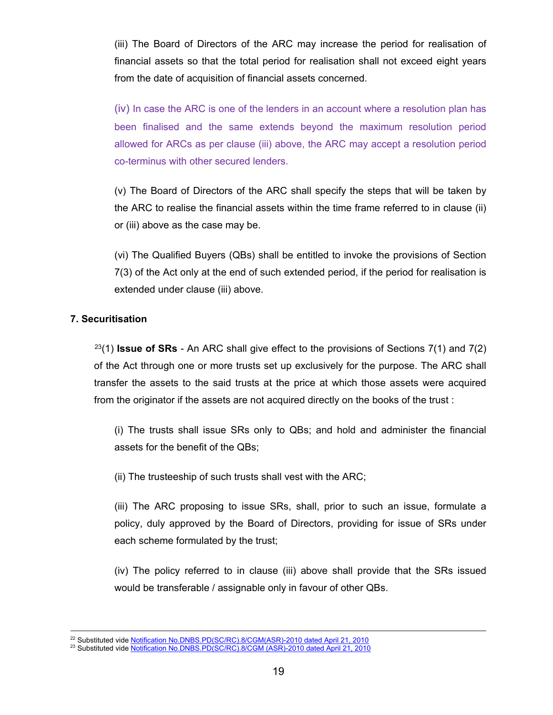(iii) The Board of Directors of the ARC may increase the period for realisation of financial assets so that the total period for realisation shall not exceed eight years from the date of acquisition of financial assets concerned.

(iv) In case the ARC is one of the lenders in an account where a resolution plan has been finalised and the same extends beyond the maximum resolution period allowed for ARCs as per clause (iii) above, the ARC may accept a resolution period co-terminus with other secured lenders.

(v) The Board of Directors of the ARC shall specify the steps that will be taken by the ARC to realise the financial assets within the time frame referred to in clause (ii) or (iii) above as the case may be.

(vi) The Qualified Buyers (QBs) shall be entitled to invoke the provisions of Section 7(3) of the Act only at the end of such extended period, if the period for realisation is extended under clause (iii) above.

# **7. Securitisation**

[23\(](#page-18-0)1) **Issue of SRs** - An ARC shall give effect to the provisions of Sections 7(1) and 7(2) of the Act through one or more trusts set up exclusively for the purpose. The ARC shall transfer the assets to the said trusts at the price at which those assets were acquired from the originator if the assets are not acquired directly on the books of the trust :

(i) The trusts shall issue SRs only to QBs; and hold and administer the financial assets for the benefit of the QBs;

(ii) The trusteeship of such trusts shall vest with the ARC;

(iii) The ARC proposing to issue SRs, shall, prior to such an issue, formulate a policy, duly approved by the Board of Directors, providing for issue of SRs under each scheme formulated by the trust;

(iv) The policy referred to in clause (iii) above shall provide that the SRs issued would be transferable / assignable only in favour of other QBs.

<sup>&</sup>lt;sup>22</sup> Substituted vide [Notification No.DNBS.PD\(SC/RC\).8/CGM\(ASR\)-2010 dated April 21, 2010](https://www.rbi.org.in/Scripts/NotificationUser.aspx?Id=5614&Mode=0#R)

<span id="page-18-0"></span><sup>&</sup>lt;sup>23</sup> Substituted vide [Notification No.DNBS.PD\(SC/RC\).8/CGM \(ASR\)-2010 dated April 21, 2010](https://www.rbi.org.in/Scripts/NotificationUser.aspx?Id=5614&Mode=0#R)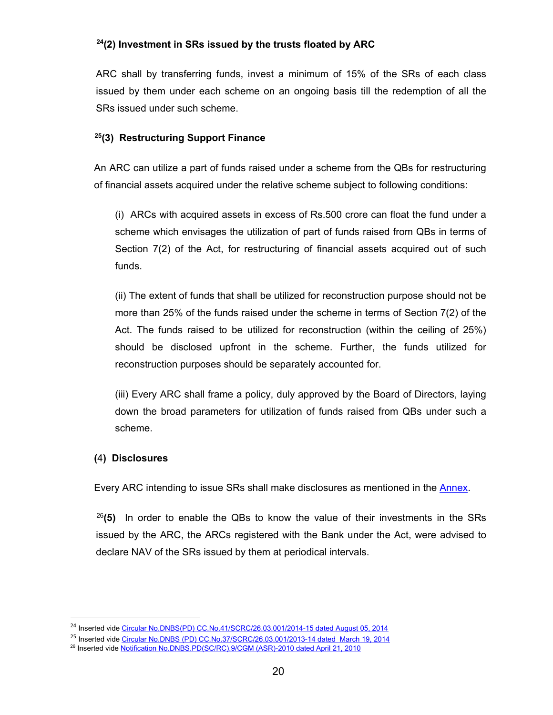# **[24\(](#page-19-0)2) Investment in SRs issued by the trusts floated by ARC**

ARC shall by transferring funds, invest a minimum of 15% of the SRs of each class issued by them under each scheme on an ongoing basis till the redemption of all the SRs issued under such scheme.

# **[25\(](#page-19-1)3) Restructuring Support Finance**

An ARC can utilize a part of funds raised under a scheme from the QBs for restructuring of financial assets acquired under the relative scheme subject to following conditions:

(i) ARCs with acquired assets in excess of Rs.500 crore can float the fund under a scheme which envisages the utilization of part of funds raised from QBs in terms of Section 7(2) of the Act, for restructuring of financial assets acquired out of such funds.

(ii) The extent of funds that shall be utilized for reconstruction purpose should not be more than 25% of the funds raised under the scheme in terms of Section 7(2) of the Act. The funds raised to be utilized for reconstruction (within the ceiling of 25%) should be disclosed upfront in the scheme. Further, the funds utilized for reconstruction purposes should be separately accounted for.

(iii) Every ARC shall frame a policy, duly approved by the Board of Directors, laying down the broad parameters for utilization of funds raised from QBs under such a scheme.

# **(**4**) Disclosures**

 $\overline{a}$ 

Every ARC intending to issue SRs shall make disclosures as mentioned in the [Annex.](#page-31-0)

[26](#page-19-2)**(5)** In order to enable the QBs to know the value of their investments in the SRs issued by the ARC, the ARCs registered with the Bank under the Act, were advised to declare NAV of the SRs issued by them at periodical intervals.

<span id="page-19-0"></span><sup>&</sup>lt;sup>24</sup> Inserted vide [Circular No.DNBS\(PD\) CC.No.41/SCRC/26.03.001/2014-15 dated August 05, 2014](https://www.rbi.org.in/Scripts/NotificationUser.aspx?Id=9154&Mode=0)

<span id="page-19-1"></span><sup>&</sup>lt;sup>25</sup> Inserted vide [Circular No.DNBS \(PD\) CC.No.37/SCRC/26.03.001/2013-14 dated March 19, 2014](https://www.rbi.org.in/Scripts/NotificationUser.aspx?Id=8776&Mode=0)

<span id="page-19-2"></span><sup>26</sup> Inserted vide [Notification No.DNBS.PD\(SC/RC\).9/CGM \(ASR\)-2010 dated April 21, 2010](https://www.rbi.org.in/Scripts/NotificationUser.aspx?Id=5613&Mode=0#R)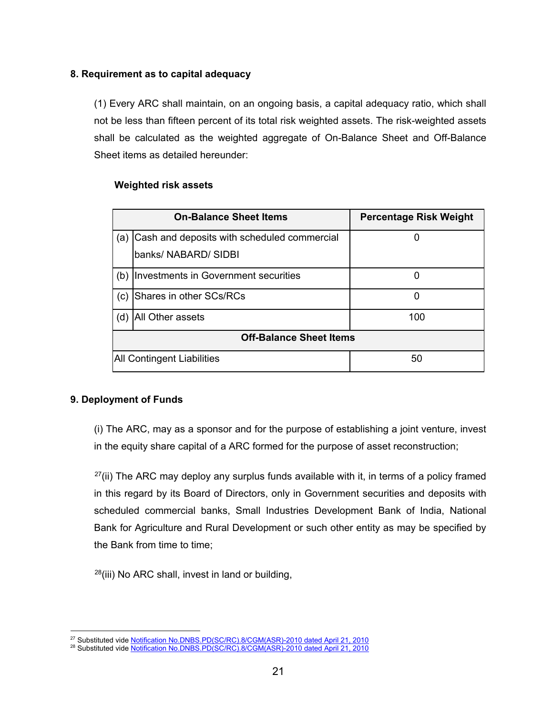# **8. Requirement as to capital adequacy**

(1) Every ARC shall maintain, on an ongoing basis, a capital adequacy ratio, which shall not be less than fifteen percent of its total risk weighted assets. The risk-weighted assets shall be calculated as the weighted aggregate of On-Balance Sheet and Off-Balance Sheet items as detailed hereunder:

# **Weighted risk assets**

| <b>On-Balance Sheet Items</b>     |                                             | <b>Percentage Risk Weight</b> |  |  |
|-----------------------------------|---------------------------------------------|-------------------------------|--|--|
| (a)                               | Cash and deposits with scheduled commercial |                               |  |  |
|                                   | banks/ NABARD/ SIDBI                        |                               |  |  |
| (b)                               | Investments in Government securities        |                               |  |  |
| (c)                               | Shares in other SCs/RCs                     | 0                             |  |  |
| All Other assets<br>(d)           |                                             | 100                           |  |  |
| <b>Off-Balance Sheet Items</b>    |                                             |                               |  |  |
| <b>All Contingent Liabilities</b> |                                             | 50                            |  |  |

# **9. Deployment of Funds**

(i) The ARC, may as a sponsor and for the purpose of establishing a joint venture, invest in the equity share capital of a ARC formed for the purpose of asset reconstruction;

 $27$ (ii) The ARC may deploy any surplus funds available with it, in terms of a policy framed in this regard by its Board of Directors, only in Government securities and deposits with scheduled commercial banks, Small Industries Development Bank of India, National Bank for Agriculture and Rural Development or such other entity as may be specified by the Bank from time to time;

 $28(iii)$  $28(iii)$  No ARC shall, invest in land or building,

 <sup>27</sup> Substituted vide [Notification No.DNBS.PD\(SC/RC\).8/CGM\(ASR\)-2010 dated April 21, 2010](https://www.rbi.org.in/Scripts/NotificationUser.aspx?Id=5614&Mode=0#R)

<span id="page-20-1"></span><span id="page-20-0"></span><sup>&</sup>lt;sup>28</sup> Substituted vide <u>Notification No.DNBS.PD(SC/RC).8/CGM(ASR)-2010 dated April 21, 2010</u>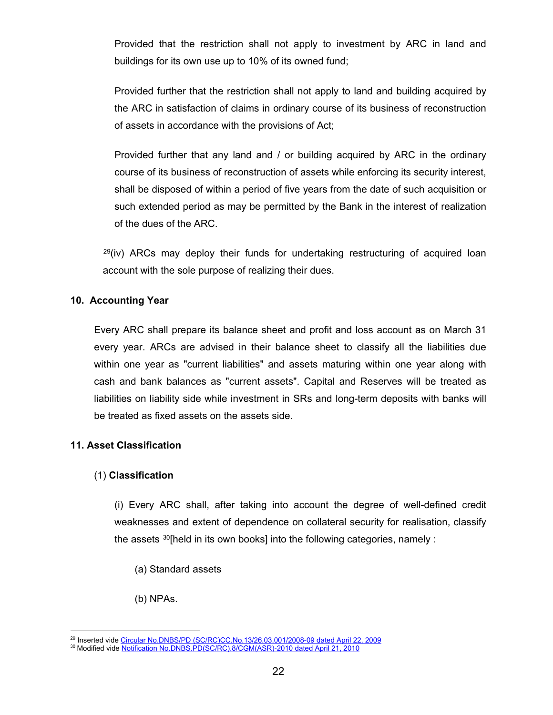Provided that the restriction shall not apply to investment by ARC in land and buildings for its own use up to 10% of its owned fund;

Provided further that the restriction shall not apply to land and building acquired by the ARC in satisfaction of claims in ordinary course of its business of reconstruction of assets in accordance with the provisions of Act;

Provided further that any land and / or building acquired by ARC in the ordinary course of its business of reconstruction of assets while enforcing its security interest, shall be disposed of within a period of five years from the date of such acquisition or such extended period as may be permitted by the Bank in the interest of realization of the dues of the ARC.

 $^{29}$  $^{29}$  $^{29}$ (iv) ARCs may deploy their funds for undertaking restructuring of acquired loan account with the sole purpose of realizing their dues.

# **10. Accounting Year**

Every ARC shall prepare its balance sheet and profit and loss account as on March 31 every year. ARCs are advised in their balance sheet to classify all the liabilities due within one year as "current liabilities" and assets maturing within one year along with cash and bank balances as "current assets". Capital and Reserves will be treated as liabilities on liability side while investment in SRs and long-term deposits with banks will be treated as fixed assets on the assets side.

# **11. Asset Classification**

# (1) **Classification**

(i) Every ARC shall, after taking into account the degree of well-defined credit weaknesses and extent of dependence on collateral security for realisation, classify the assets [30](#page-21-1)[held in its own books] into the following categories, namely :

(a) Standard assets

# (b) NPAs.

 <sup>29</sup> Inserted vide [Circular No.DNBS/PD \(SC/RC\)CC.No.13/26.03.001/2008-09 dated April 22, 2009](https://www.rbi.org.in/scripts/FS_Notification.aspx?Id=4943&fn=14&Mode=0)

<span id="page-21-1"></span><span id="page-21-0"></span><sup>&</sup>lt;sup>30</sup> Modified vide <u>Notification No.DNBS.PD(SC/RC).8/CGM(ASR)-2010 dated April 21, 2010</u>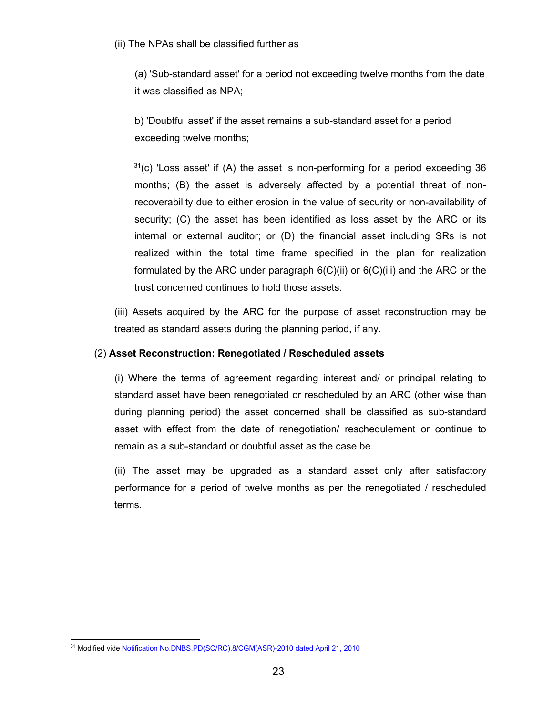(ii) The NPAs shall be classified further as

(a) 'Sub-standard asset' for a period not exceeding twelve months from the date it was classified as NPA;

b) 'Doubtful asset' if the asset remains a sub-standard asset for a period exceeding twelve months;

 $31(c)$  $31(c)$  'Loss asset' if (A) the asset is non-performing for a period exceeding 36 months; (B) the asset is adversely affected by a potential threat of nonrecoverability due to either erosion in the value of security or non-availability of security; (C) the asset has been identified as loss asset by the ARC or its internal or external auditor; or (D) the financial asset including SRs is not realized within the total time frame specified in the plan for realization formulated by the ARC under paragraph  $6(C)(ii)$  or  $6(C)(iii)$  and the ARC or the trust concerned continues to hold those assets.

(iii) Assets acquired by the ARC for the purpose of asset reconstruction may be treated as standard assets during the planning period, if any.

# (2) **Asset Reconstruction: Renegotiated / Rescheduled assets**

(i) Where the terms of agreement regarding interest and/ or principal relating to standard asset have been renegotiated or rescheduled by an ARC (other wise than during planning period) the asset concerned shall be classified as sub-standard asset with effect from the date of renegotiation/ reschedulement or continue to remain as a sub-standard or doubtful asset as the case be.

(ii) The asset may be upgraded as a standard asset only after satisfactory performance for a period of twelve months as per the renegotiated / rescheduled terms.

<span id="page-22-0"></span><sup>&</sup>lt;sup>31</sup> Modified vide [Notification No.DNBS.PD\(SC/RC\).8/CGM\(ASR\)-2010 dated April 21, 2010](https://www.rbi.org.in/Scripts/NotificationUser.aspx?Id=5614&Mode=0#R)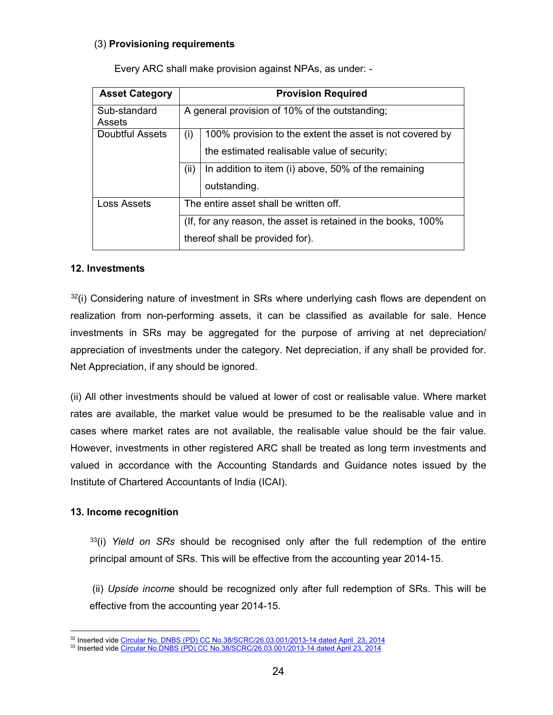## (3) **Provisioning requirements**

| <b>Asset Category</b>  | <b>Provision Required</b>                                                                         |                                                                                                         |  |  |
|------------------------|---------------------------------------------------------------------------------------------------|---------------------------------------------------------------------------------------------------------|--|--|
| Sub-standard<br>Assets | A general provision of 10% of the outstanding;                                                    |                                                                                                         |  |  |
| Doubtful Assets        | (i)                                                                                               | 100% provision to the extent the asset is not covered by<br>the estimated realisable value of security; |  |  |
|                        | (ii)                                                                                              | In addition to item (i) above, 50% of the remaining<br>outstanding.                                     |  |  |
| Loss Assets            |                                                                                                   | The entire asset shall be written off.                                                                  |  |  |
|                        | (If, for any reason, the asset is retained in the books, 100%)<br>thereof shall be provided for). |                                                                                                         |  |  |

Every ARC shall make provision against NPAs, as under: -

### **12. Investments**

 $32(i)$  $32(i)$  Considering nature of investment in SRs where underlying cash flows are dependent on realization from non-performing assets, it can be classified as available for sale. Hence investments in SRs may be aggregated for the purpose of arriving at net depreciation/ appreciation of investments under the category. Net depreciation, if any shall be provided for. Net Appreciation, if any should be ignored.

(ii) All other investments should be valued at lower of cost or realisable value. Where market rates are available, the market value would be presumed to be the realisable value and in cases where market rates are not available, the realisable value should be the fair value. However, investments in other registered ARC shall be treated as long term investments and valued in accordance with the Accounting Standards and Guidance notes issued by the Institute of Chartered Accountants of India (ICAI).

### **13. Income recognition**

[33\(](#page-23-1)i) *Yield on SRs* should be recognised only after the full redemption of the entire principal amount of SRs. This will be effective from the accounting year 2014-15.

(ii) *Upside income* should be recognized only after full redemption of SRs. This will be effective from the accounting year 2014-15.

 <sup>32</sup> Inserted vide [Circular No. DNBS \(PD\) CC No.38/SCRC/26.03.001/2013-14 dated April 23, 2014](https://www.rbi.org.in/Scripts/NotificationUser.aspx?Id=8849&Mode=0)

<span id="page-23-1"></span><span id="page-23-0"></span><sup>&</sup>lt;sup>33</sup> Inserted vide <u>Circular No.DNBS (PD) CC No.38/SCRC/26.03.001/2013-14 dated April 23, 2014</u>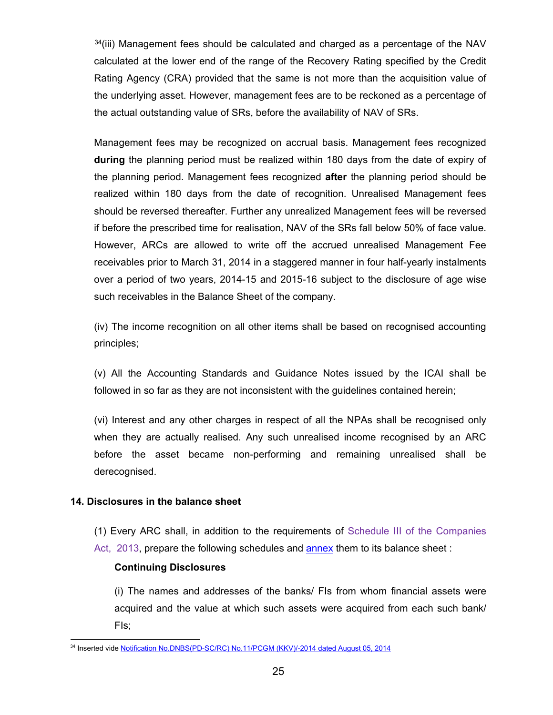$34(iii)$  $34(iii)$  Management fees should be calculated and charged as a percentage of the NAV calculated at the lower end of the range of the Recovery Rating specified by the Credit Rating Agency (CRA) provided that the same is not more than the acquisition value of the underlying asset. However, management fees are to be reckoned as a percentage of the actual outstanding value of SRs, before the availability of NAV of SRs.

Management fees may be recognized on accrual basis. Management fees recognized **during** the planning period must be realized within 180 days from the date of expiry of the planning period. Management fees recognized **after** the planning period should be realized within 180 days from the date of recognition. Unrealised Management fees should be reversed thereafter. Further any unrealized Management fees will be reversed if before the prescribed time for realisation, NAV of the SRs fall below 50% of face value. However, ARCs are allowed to write off the accrued unrealised Management Fee receivables prior to March 31, 2014 in a staggered manner in four half-yearly instalments over a period of two years, 2014-15 and 2015-16 subject to the disclosure of age wise such receivables in the Balance Sheet of the company.

(iv) The income recognition on all other items shall be based on recognised accounting principles;

(v) All the Accounting Standards and Guidance Notes issued by the ICAI shall be followed in so far as they are not inconsistent with the guidelines contained herein;

(vi) Interest and any other charges in respect of all the NPAs shall be recognised only when they are actually realised. Any such unrealised income recognised by an ARC before the asset became non-performing and remaining unrealised shall be derecognised.

# **14. Disclosures in the balance sheet**

- (1) Every ARC shall, in addition to the requirements of Schedule III of the Companies
- Act, 2013, prepare the following schedules and **annex** them to its balance sheet :

# **Continuing Disclosures**

(i) The names and addresses of the banks/ FIs from whom financial assets were acquired and the value at which such assets were acquired from each such bank/ FIs;

<span id="page-24-0"></span> <sup>34</sup> Inserted vide [Notification No.DNBS\(PD-SC/RC\) No.11/PCGM \(KKV\)/-2014 dated August 05, 2014](https://www.rbi.org.in/scripts/FS_Notification.aspx?Id=9154&fn=14&Mode=0#S1)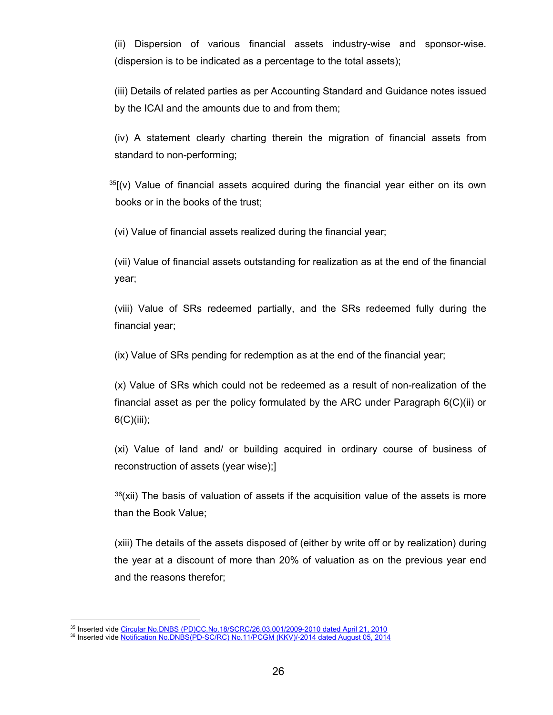(ii) Dispersion of various financial assets industry-wise and sponsor-wise. (dispersion is to be indicated as a percentage to the total assets);

(iii) Details of related parties as per Accounting Standard and Guidance notes issued by the ICAI and the amounts due to and from them;

(iv) A statement clearly charting therein the migration of financial assets from standard to non-performing;

 $35$ [(v) Value of financial assets acquired during the financial year either on its own books or in the books of the trust;

(vi) Value of financial assets realized during the financial year;

(vii) Value of financial assets outstanding for realization as at the end of the financial year;

(viii) Value of SRs redeemed partially, and the SRs redeemed fully during the financial year;

(ix) Value of SRs pending for redemption as at the end of the financial year;

(x) Value of SRs which could not be redeemed as a result of non-realization of the financial asset as per the policy formulated by the ARC under Paragraph 6(C)(ii) or  $6(C)(iii)$ ;

(xi) Value of land and/ or building acquired in ordinary course of business of reconstruction of assets (year wise);]

 $36(xii)$  $36(xii)$  The basis of valuation of assets if the acquisition value of the assets is more than the Book Value;

(xiii) The details of the assets disposed of (either by write off or by realization) during the year at a discount of more than 20% of valuation as on the previous year end and the reasons therefor;

<span id="page-25-0"></span> <sup>35</sup> Inserted vide [Circular No.DNBS \(PD\)CC.No.18/SCRC/26.03.001/2009-2010 dated April 21, 2010](https://www.rbi.org.in/Scripts/NotificationUser.aspx?Id=5614&Mode=0)

<span id="page-25-1"></span><sup>36</sup> Inserted vide [Notification No.DNBS\(PD-SC/RC\) No.11/PCGM \(KKV\)/-2014 dated August 05, 2014](https://www.rbi.org.in/scripts/FS_Notification.aspx?Id=9154&fn=14&Mode=0#S1)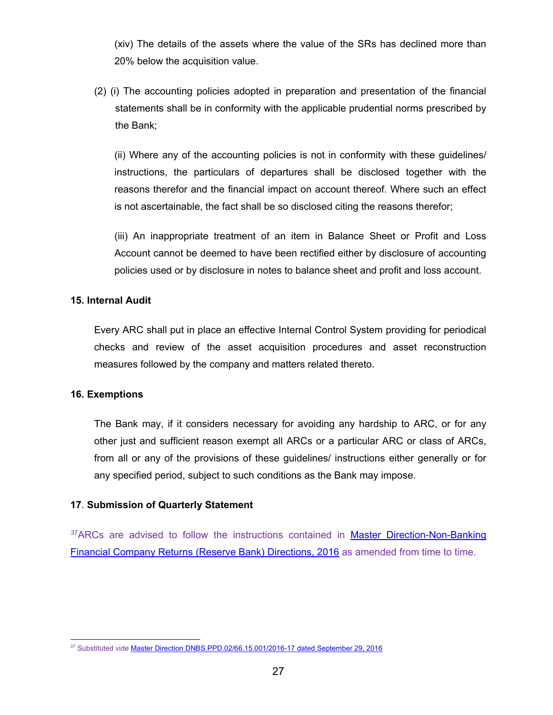(xiv) The details of the assets where the value of the SRs has declined more than 20% below the acquisition value.

(2) (i) The accounting policies adopted in preparation and presentation of the financial statements shall be in conformity with the applicable prudential norms prescribed by the Bank;

(ii) Where any of the accounting policies is not in conformity with these guidelines/ instructions, the particulars of departures shall be disclosed together with the reasons therefor and the financial impact on account thereof. Where such an effect is not ascertainable, the fact shall be so disclosed citing the reasons therefor;

(iii) An inappropriate treatment of an item in Balance Sheet or Profit and Loss Account cannot be deemed to have been rectified either by disclosure of accounting policies used or by disclosure in notes to balance sheet and profit and loss account.

### **15. Internal Audit**

Every ARC shall put in place an effective Internal Control System providing for periodical checks and review of the asset acquisition procedures and asset reconstruction measures followed by the company and matters related thereto.

# **16. Exemptions**

The Bank may, if it considers necessary for avoiding any hardship to ARC, or for any other just and sufficient reason exempt all ARCs or a particular ARC or class of ARCs, from all or any of the provisions of these guidelines/ instructions either generally or for any specified period, subject to such conditions as the Bank may impose.

# **17**. **Submission of Quarterly Statement**

<sup>[37](#page-26-0)</sup>ARCs are advised to follow the instructions contained in **Master Direction-Non-Banking** [Financial Company Returns \(Reserve Bank\) Directions, 2016](https://www.rbi.org.in/Scripts/BS_ViewMasDirections.aspx?id=10620) as amended from time to time.

<span id="page-26-0"></span><sup>&</sup>lt;sup>37</sup> Substituted vide [Master Direction DNBS.PPD.02/66.15.001/2016-17 dated September 29, 2016](https://www.rbi.org.in/Scripts/BS_ViewMasDirections.aspx?id=10620)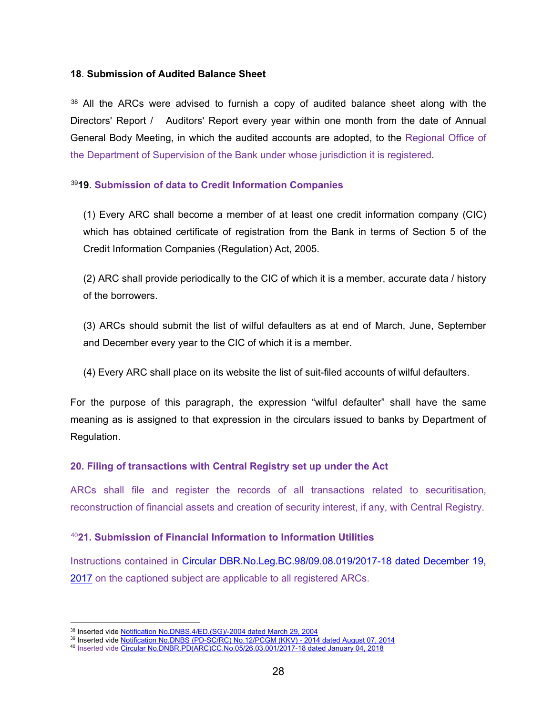### **18**. **Submission of Audited Balance Sheet**

 $38$  All the ARCs were advised to furnish a copy of audited balance sheet along with the Directors' Report / Auditors' Report every year within one month from the date of Annual General Body Meeting, in which the audited accounts are adopted, to the Regional Office of the Department of Supervision of the Bank under whose jurisdiction it is registered.

# [39](#page-27-1)**19**. **Submission of data to Credit Information Companies**

(1) Every ARC shall become a member of at least one credit information company (CIC) which has obtained certificate of registration from the Bank in terms of Section 5 of the Credit Information Companies (Regulation) Act, 2005.

(2) ARC shall provide periodically to the CIC of which it is a member, accurate data / history of the borrowers.

(3) ARCs should submit the list of wilful defaulters as at end of March, June, September and December every year to the CIC of which it is a member.

(4) Every ARC shall place on its website the list of suit-filed accounts of wilful defaulters.

For the purpose of this paragraph, the expression "wilful defaulter" shall have the same meaning as is assigned to that expression in the circulars issued to banks by Department of Regulation.

# **20. Filing of transactions with Central Registry set up under the Act**

ARCs shall file and register the records of all transactions related to securitisation, reconstruction of financial assets and creation of security interest, if any, with Central Registry.

### [40](#page-27-2)**21. Submission of Financial Information to Information Utilities**

Instructions contained in [Circular DBR.No.Leg.BC.98/09.08.019/2017-18 dated December 19,](https://rbi.org.in/Scripts/NotificationUser.aspx?Id=11189&Mode=0)  [2017](https://rbi.org.in/Scripts/NotificationUser.aspx?Id=11189&Mode=0) on the captioned subject are applicable to all registered ARCs.

 $^{38}$  Inserted vide <u>Notification No.DNBS.4/ED.(SG)</u>/-2004 dated March 29, 2004

<span id="page-27-0"></span><sup>&</sup>lt;sup>39</sup> Inserted vide <u>Notification No.DNBS (PD-SC/RC) No.12/PCGM (KKV) - 2014 dated August 07, 2014</u>

<span id="page-27-2"></span><span id="page-27-1"></span><sup>&</sup>lt;sup>40</sup> Inserted vide <u>Circular No.DNBR.PD(ARC)CC.No.05/26.03.001/2017-18 dated January 04, 2018</u>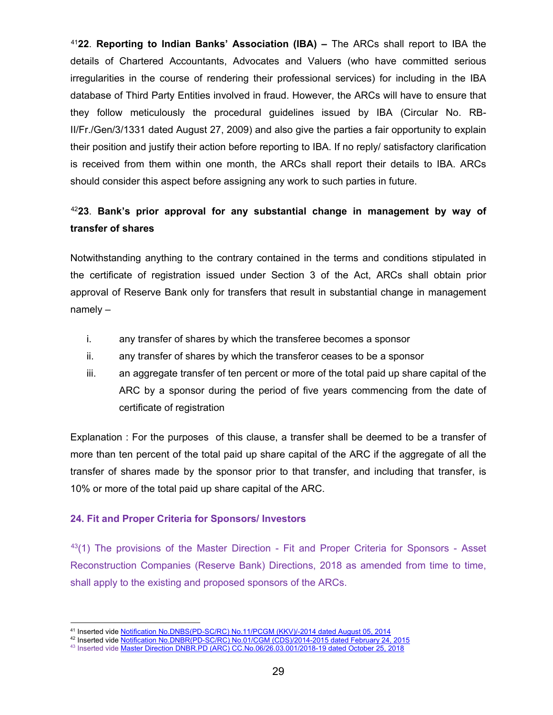[41](#page-28-0)**22**. **Reporting to Indian Banks' Association (IBA) –** The ARCs shall report to IBA the details of Chartered Accountants, Advocates and Valuers (who have committed serious irregularities in the course of rendering their professional services) for including in the IBA database of Third Party Entities involved in fraud. However, the ARCs will have to ensure that they follow meticulously the procedural guidelines issued by IBA (Circular No. RB-II/Fr./Gen/3/1331 dated August 27, 2009) and also give the parties a fair opportunity to explain their position and justify their action before reporting to IBA. If no reply/ satisfactory clarification is received from them within one month, the ARCs shall report their details to IBA. ARCs should consider this aspect before assigning any work to such parties in future.

# [42](#page-28-1)**23**. **Bank's prior approval for any substantial change in management by way of transfer of shares**

Notwithstanding anything to the contrary contained in the terms and conditions stipulated in the certificate of registration issued under Section 3 of the Act, ARCs shall obtain prior approval of Reserve Bank only for transfers that result in substantial change in management namely –

- i. any transfer of shares by which the transferee becomes a sponsor
- ii. any transfer of shares by which the transferor ceases to be a sponsor
- iii. an aggregate transfer of ten percent or more of the total paid up share capital of the ARC by a sponsor during the period of five years commencing from the date of certificate of registration

Explanation : For the purposes of this clause, a transfer shall be deemed to be a transfer of more than ten percent of the total paid up share capital of the ARC if the aggregate of all the transfer of shares made by the sponsor prior to that transfer, and including that transfer, is 10% or more of the total paid up share capital of the ARC.

# **24. Fit and Proper Criteria for Sponsors/ Investors**

 $43(1)$  $43(1)$  The provisions of the Master Direction - Fit and Proper Criteria for Sponsors - Asset Reconstruction Companies (Reserve Bank) Directions, 2018 as amended from time to time, shall apply to the existing and proposed sponsors of the ARCs.

 <sup>41</sup> Inserted vide [Notification No.DNBS\(PD-SC/RC\) No.11/PCGM \(KKV\)/-2014 dated August 05, 2014](https://www.rbi.org.in/scripts/FS_Notification.aspx?Id=9154&fn=14&Mode=0#S1)

<span id="page-28-1"></span><span id="page-28-0"></span><sup>&</sup>lt;sup>42</sup> Inserted vide <u>Notification No.DNBR(PD-SC/RC) No.01/CGM (CDS)/2014-2015 dated February 24, 2015</u>

<span id="page-28-2"></span><sup>&</sup>lt;sup>43</sup> Inserted vide <u>Master Direction DNBR.PD (ARC) CC.No.06/26.03.001/2018-19 dated October 25, 2018</u>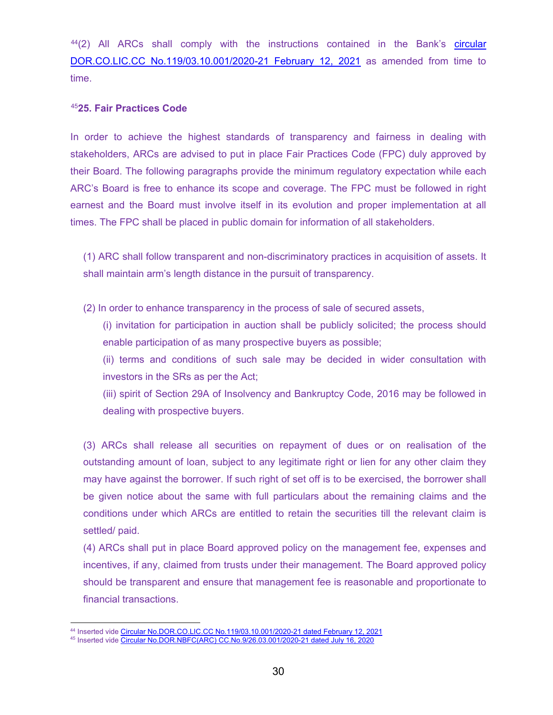[44](#page-29-0)(2) All ARCs shall comply with the instructions contained in the Bank's circular [DOR.CO.LIC.CC No.119/03.10.001/2020-21 February 12, 2021](https://www.rbi.org.in/Scripts/NotificationUser.aspx?Id=12027&Mode=0) as amended from time to time.

### [45](#page-29-1)**25. Fair Practices Code**

In order to achieve the highest standards of transparency and fairness in dealing with stakeholders, ARCs are advised to put in place Fair Practices Code (FPC) duly approved by their Board. The following paragraphs provide the minimum regulatory expectation while each ARC's Board is free to enhance its scope and coverage. The FPC must be followed in right earnest and the Board must involve itself in its evolution and proper implementation at all times. The FPC shall be placed in public domain for information of all stakeholders.

(1) ARC shall follow transparent and non-discriminatory practices in acquisition of assets. It shall maintain arm's length distance in the pursuit of transparency.

(2) In order to enhance transparency in the process of sale of secured assets,

(i) invitation for participation in auction shall be publicly solicited; the process should enable participation of as many prospective buyers as possible;

(ii) terms and conditions of such sale may be decided in wider consultation with investors in the SRs as per the Act;

(iii) spirit of Section 29A of Insolvency and Bankruptcy Code, 2016 may be followed in dealing with prospective buyers.

(3) ARCs shall release all securities on repayment of dues or on realisation of the outstanding amount of loan, subject to any legitimate right or lien for any other claim they may have against the borrower. If such right of set off is to be exercised, the borrower shall be given notice about the same with full particulars about the remaining claims and the conditions under which ARCs are entitled to retain the securities till the relevant claim is settled/ paid.

(4) ARCs shall put in place Board approved policy on the management fee, expenses and incentives, if any, claimed from trusts under their management. The Board approved policy should be transparent and ensure that management fee is reasonable and proportionate to financial transactions.

 <sup>44</sup> Inserted vide [Circular No.DOR.CO.LIC.CC No.119/03.10.001/2020-21 dated February 12, 2021](https://www.rbi.org.in/Scripts/NotificationUser.aspx?Id=12027&Mode=0)

<span id="page-29-1"></span><span id="page-29-0"></span><sup>&</sup>lt;sup>45</sup> Inserted vide <u>Circular No.DOR.NBFC(ARC) CC.No.9/26.03.001/2020-21 dated July 16, 2020</u>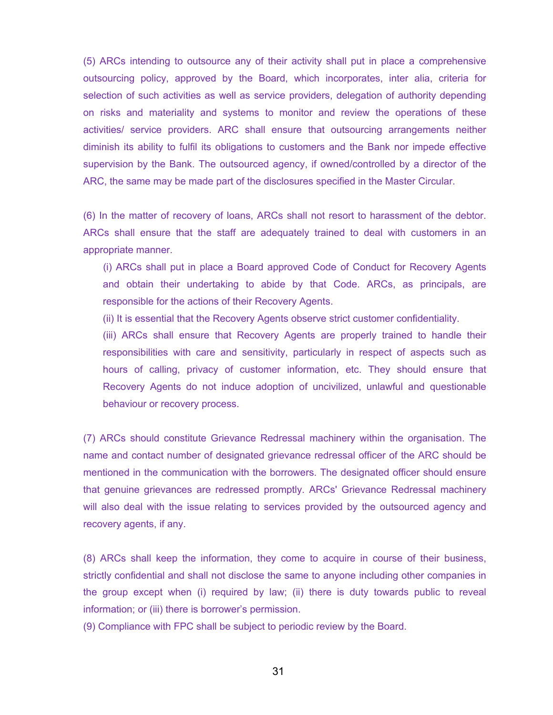(5) ARCs intending to outsource any of their activity shall put in place a comprehensive outsourcing policy, approved by the Board, which incorporates, inter alia, criteria for selection of such activities as well as service providers, delegation of authority depending on risks and materiality and systems to monitor and review the operations of these activities/ service providers. ARC shall ensure that outsourcing arrangements neither diminish its ability to fulfil its obligations to customers and the Bank nor impede effective supervision by the Bank. The outsourced agency, if owned/controlled by a director of the ARC, the same may be made part of the disclosures specified in the Master Circular.

(6) In the matter of recovery of loans, ARCs shall not resort to harassment of the debtor. ARCs shall ensure that the staff are adequately trained to deal with customers in an appropriate manner.

(i) ARCs shall put in place a Board approved Code of Conduct for Recovery Agents and obtain their undertaking to abide by that Code. ARCs, as principals, are responsible for the actions of their Recovery Agents.

(ii) It is essential that the Recovery Agents observe strict customer confidentiality.

(iii) ARCs shall ensure that Recovery Agents are properly trained to handle their responsibilities with care and sensitivity, particularly in respect of aspects such as hours of calling, privacy of customer information, etc. They should ensure that Recovery Agents do not induce adoption of uncivilized, unlawful and questionable behaviour or recovery process.

(7) ARCs should constitute Grievance Redressal machinery within the organisation. The name and contact number of designated grievance redressal officer of the ARC should be mentioned in the communication with the borrowers. The designated officer should ensure that genuine grievances are redressed promptly. ARCs' Grievance Redressal machinery will also deal with the issue relating to services provided by the outsourced agency and recovery agents, if any.

(8) ARCs shall keep the information, they come to acquire in course of their business, strictly confidential and shall not disclose the same to anyone including other companies in the group except when (i) required by law; (ii) there is duty towards public to reveal information; or (iii) there is borrower's permission.

(9) Compliance with FPC shall be subject to periodic review by the Board.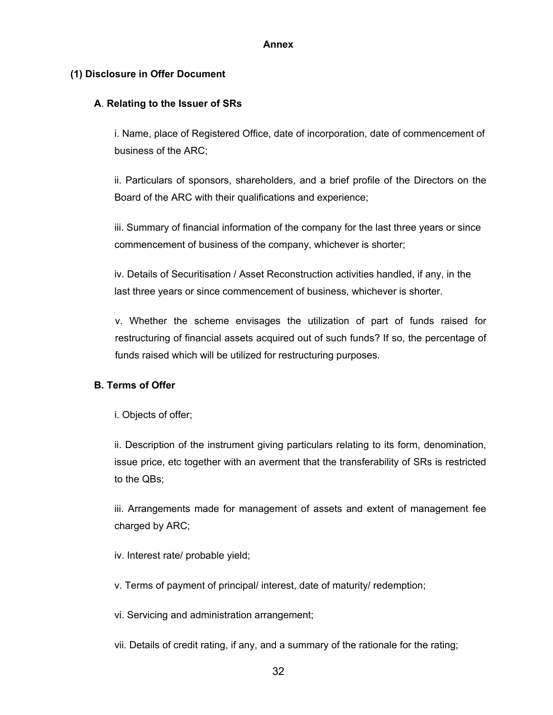### **Annex**

# <span id="page-31-0"></span>**(1) Disclosure in Offer Document**

## **A**. **Relating to the Issuer of SRs**

i. Name, place of Registered Office, date of incorporation, date of commencement of business of the ARC;

ii. Particulars of sponsors, shareholders, and a brief profile of the Directors on the Board of the ARC with their qualifications and experience;

iii. Summary of financial information of the company for the last three years or since commencement of business of the company, whichever is shorter;

iv. Details of Securitisation / Asset Reconstruction activities handled, if any, in the last three years or since commencement of business, whichever is shorter.

v. Whether the scheme envisages the utilization of part of funds raised for restructuring of financial assets acquired out of such funds? If so, the percentage of funds raised which will be utilized for restructuring purposes.

# **B. Terms of Offer**

i. Objects of offer;

ii. Description of the instrument giving particulars relating to its form, denomination, issue price, etc together with an averment that the transferability of SRs is restricted to the QBs;

iii. Arrangements made for management of assets and extent of management fee charged by ARC;

iv. Interest rate/ probable yield;

v. Terms of payment of principal/ interest, date of maturity/ redemption;

vi. Servicing and administration arrangement;

vii. Details of credit rating, if any, and a summary of the rationale for the rating;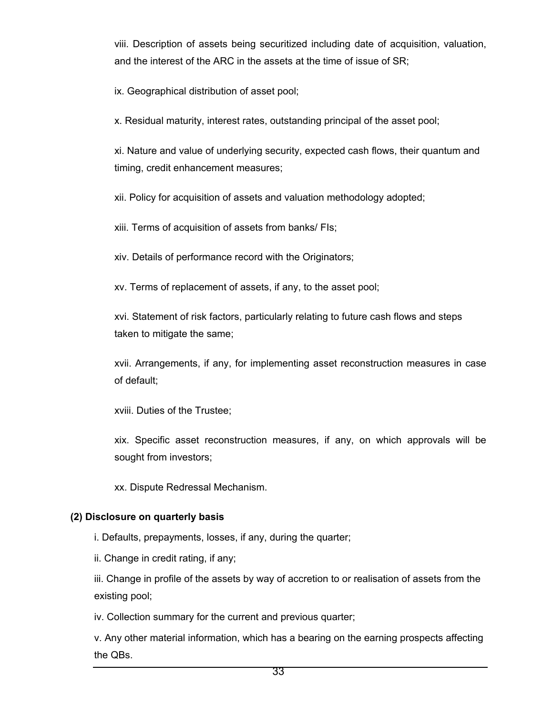viii. Description of assets being securitized including date of acquisition, valuation, and the interest of the ARC in the assets at the time of issue of SR;

ix. Geographical distribution of asset pool;

x. Residual maturity, interest rates, outstanding principal of the asset pool;

xi. Nature and value of underlying security, expected cash flows, their quantum and timing, credit enhancement measures;

xii. Policy for acquisition of assets and valuation methodology adopted;

xiii. Terms of acquisition of assets from banks/ FIs;

xiv. Details of performance record with the Originators;

xv. Terms of replacement of assets, if any, to the asset pool;

xvi. Statement of risk factors, particularly relating to future cash flows and steps taken to mitigate the same;

xvii. Arrangements, if any, for implementing asset reconstruction measures in case of default;

xviii. Duties of the Trustee;

xix. Specific asset reconstruction measures, if any, on which approvals will be sought from investors;

xx. Dispute Redressal Mechanism.

# **(2) Disclosure on quarterly basis**

i. Defaults, prepayments, losses, if any, during the quarter;

ii. Change in credit rating, if any;

iii. Change in profile of the assets by way of accretion to or realisation of assets from the existing pool;

iv. Collection summary for the current and previous quarter;

v. Any other material information, which has a bearing on the earning prospects affecting the QBs.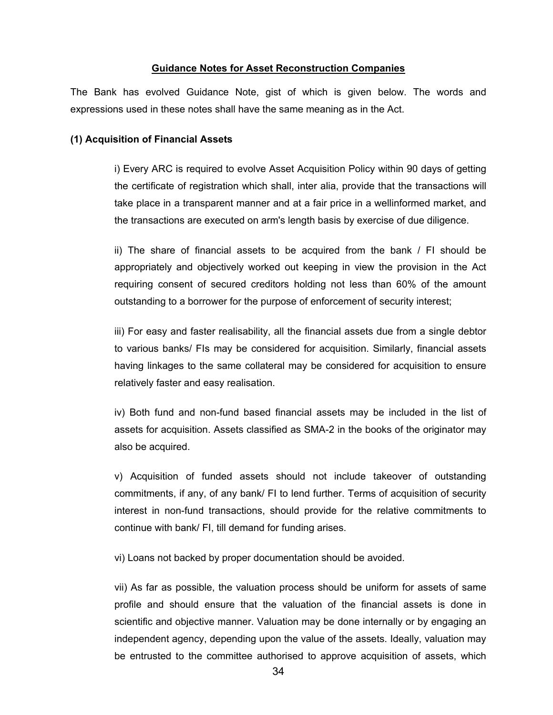#### **Guidance Notes for Asset Reconstruction Companies**

<span id="page-33-0"></span>The Bank has evolved Guidance Note, gist of which is given below. The words and expressions used in these notes shall have the same meaning as in the Act.

#### **(1) Acquisition of Financial Assets**

i) Every ARC is required to evolve Asset Acquisition Policy within 90 days of getting the certificate of registration which shall, inter alia, provide that the transactions will take place in a transparent manner and at a fair price in a wellinformed market, and the transactions are executed on arm's length basis by exercise of due diligence.

ii) The share of financial assets to be acquired from the bank / FI should be appropriately and objectively worked out keeping in view the provision in the Act requiring consent of secured creditors holding not less than 60% of the amount outstanding to a borrower for the purpose of enforcement of security interest;

iii) For easy and faster realisability, all the financial assets due from a single debtor to various banks/ FIs may be considered for acquisition. Similarly, financial assets having linkages to the same collateral may be considered for acquisition to ensure relatively faster and easy realisation.

iv) Both fund and non-fund based financial assets may be included in the list of assets for acquisition. Assets classified as SMA-2 in the books of the originator may also be acquired.

v) Acquisition of funded assets should not include takeover of outstanding commitments, if any, of any bank/ FI to lend further. Terms of acquisition of security interest in non-fund transactions, should provide for the relative commitments to continue with bank/ FI, till demand for funding arises.

vi) Loans not backed by proper documentation should be avoided.

vii) As far as possible, the valuation process should be uniform for assets of same profile and should ensure that the valuation of the financial assets is done in scientific and objective manner. Valuation may be done internally or by engaging an independent agency, depending upon the value of the assets. Ideally, valuation may be entrusted to the committee authorised to approve acquisition of assets, which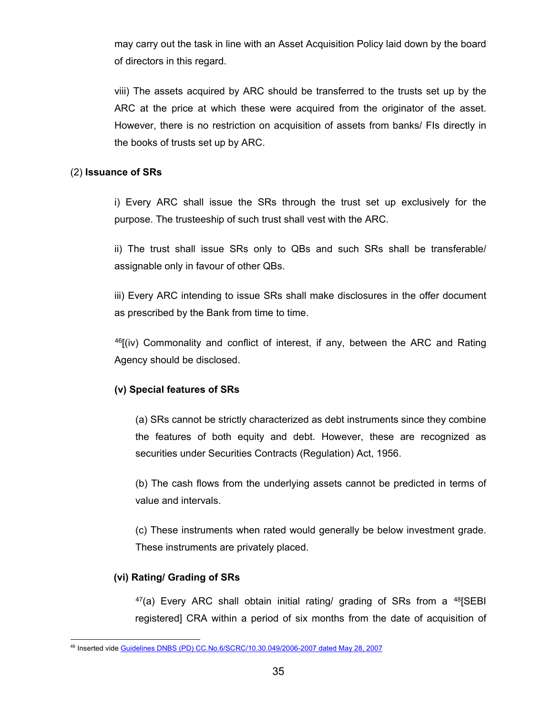may carry out the task in line with an Asset Acquisition Policy laid down by the board of directors in this regard.

viii) The assets acquired by ARC should be transferred to the trusts set up by the ARC at the price at which these were acquired from the originator of the asset. However, there is no restriction on acquisition of assets from banks/ FIs directly in the books of trusts set up by ARC.

## (2) **Issuance of SRs**

i) Every ARC shall issue the SRs through the trust set up exclusively for the purpose. The trusteeship of such trust shall vest with the ARC.

ii) The trust shall issue SRs only to QBs and such SRs shall be transferable/ assignable only in favour of other QBs.

iii) Every ARC intending to issue SRs shall make disclosures in the offer document as prescribed by the Bank from time to time.

 $^{46}$  $^{46}$  $^{46}$ [(iv) Commonality and conflict of interest, if any, between the ARC and Rating Agency should be disclosed.

# **(v) Special features of SRs**

(a) SRs cannot be strictly characterized as debt instruments since they combine the features of both equity and debt. However, these are recognized as securities under Securities Contracts (Regulation) Act, 1956.

(b) The cash flows from the underlying assets cannot be predicted in terms of value and intervals.

(c) These instruments when rated would generally be below investment grade. These instruments are privately placed.

# **(vi) Rating/ Grading of SRs**

 $47(a)$  $47(a)$  Every ARC shall obtain initial rating/ grading of SRs from a  $48$ [SEBI registered] CRA within a period of six months from the date of acquisition of

<span id="page-34-1"></span><span id="page-34-0"></span> <sup>46</sup> Inserted vide [Guidelines DNBS \(PD\) CC.No.6/SCRC/10.30.049/2006-2007 dated May 28, 2007](https://www.rbi.org.in/scripts/NotificationUser.aspx?Id=3557&Mode=0)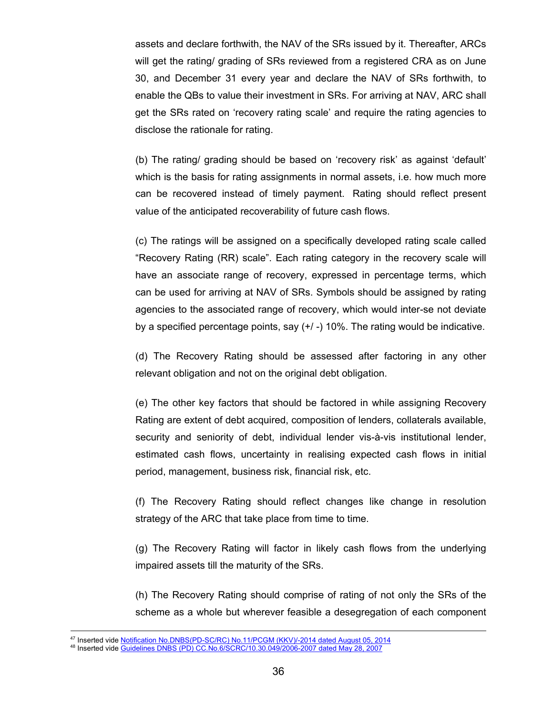assets and declare forthwith, the NAV of the SRs issued by it. Thereafter, ARCs will get the rating/ grading of SRs reviewed from a registered CRA as on June 30, and December 31 every year and declare the NAV of SRs forthwith, to enable the QBs to value their investment in SRs. For arriving at NAV, ARC shall get the SRs rated on 'recovery rating scale' and require the rating agencies to disclose the rationale for rating.

(b) The rating/ grading should be based on 'recovery risk' as against 'default' which is the basis for rating assignments in normal assets, i.e. how much more can be recovered instead of timely payment. Rating should reflect present value of the anticipated recoverability of future cash flows.

(c) The ratings will be assigned on a specifically developed rating scale called "Recovery Rating (RR) scale". Each rating category in the recovery scale will have an associate range of recovery, expressed in percentage terms, which can be used for arriving at NAV of SRs. Symbols should be assigned by rating agencies to the associated range of recovery, which would inter-se not deviate by a specified percentage points, say (+/ -) 10%. The rating would be indicative.

(d) The Recovery Rating should be assessed after factoring in any other relevant obligation and not on the original debt obligation.

(e) The other key factors that should be factored in while assigning Recovery Rating are extent of debt acquired, composition of lenders, collaterals available, security and seniority of debt, individual lender vis-à-vis institutional lender, estimated cash flows, uncertainty in realising expected cash flows in initial period, management, business risk, financial risk, etc.

(f) The Recovery Rating should reflect changes like change in resolution strategy of the ARC that take place from time to time.

(g) The Recovery Rating will factor in likely cash flows from the underlying impaired assets till the maturity of the SRs.

(h) The Recovery Rating should comprise of rating of not only the SRs of the scheme as a whole but wherever feasible a desegregation of each component

<sup>&</sup>lt;sub>47</sub><br><sup>47</sup> Inserted vide <u>Notification No.DNBS(PD-SC/RC) No.11/PCGM (KKV)/-2014 dated August 05, 2014</u>

<sup>&</sup>lt;sup>48</sup> Inserted vide <u>Guidelines DNBS (PD) CC.No.6/SCRC/10.30.049/2006-2007 dated May 28, 2007</u>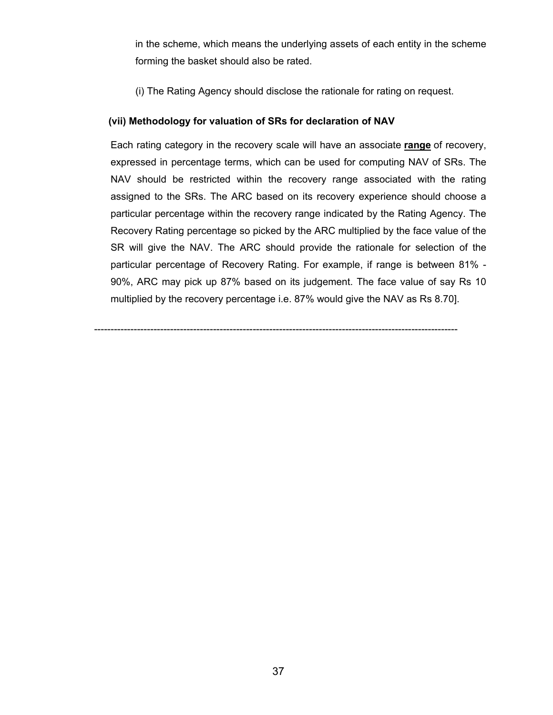in the scheme, which means the underlying assets of each entity in the scheme forming the basket should also be rated.

(i) The Rating Agency should disclose the rationale for rating on request.

# **(vii) Methodology for valuation of SRs for declaration of NAV**

Each rating category in the recovery scale will have an associate **range** of recovery, expressed in percentage terms, which can be used for computing NAV of SRs. The NAV should be restricted within the recovery range associated with the rating assigned to the SRs. The ARC based on its recovery experience should choose a particular percentage within the recovery range indicated by the Rating Agency. The Recovery Rating percentage so picked by the ARC multiplied by the face value of the SR will give the NAV. The ARC should provide the rationale for selection of the particular percentage of Recovery Rating. For example, if range is between 81% - 90%, ARC may pick up 87% based on its judgement. The face value of say Rs 10 multiplied by the recovery percentage i.e. 87% would give the NAV as Rs 8.70].

--------------------------------------------------------------------------------------------------------------

37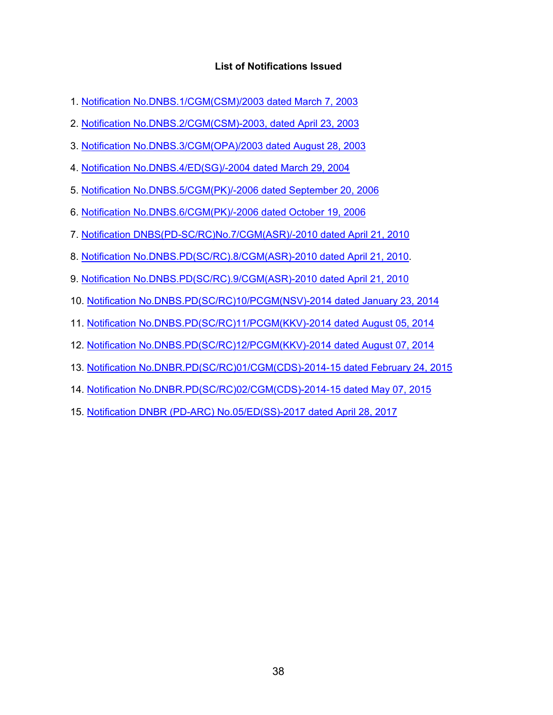# **List of Notifications Issued**

- 1. [Notification No.DNBS.1/CGM\(CSM\)/2003 dated March 7, 2003](https://www.rbi.org.in/Scripts/NotificationUser.aspx?Id=1144&Mode=0)
- 2. [Notification No.DNBS.2/CGM\(CSM\)-2003, dated April 23, 2003](https://www.rbi.org.in/Scripts/NotificationUser.aspx?Id=1145&Mode=0)
- 3. [Notification No.DNBS.3/CGM\(OPA\)/2003 dated August 28, 2003](https://www.rbi.org.in/Scripts/NotificationUser.aspx?Id=1317&Mode=0)
- 4. [Notification No.DNBS.4/ED\(SG\)/-2004 dated March 29, 2004](https://www.rbi.org.in/scripts/BS_CircularIndexDisplay.aspx?Id=1554)
- 5. [Notification No.DNBS.5/CGM\(PK\)/-2006 dated September 20, 2006](https://www.rbi.org.in/Scripts/NotificationUser.aspx?Id=3096&Mode=0)
- 6. [Notification No.DNBS.6/CGM\(PK\)/-2006 dated October 19, 2006](https://www.rbi.org.in/Scripts/NotificationUser.aspx?Id=3127&Mode=0)
- 7. [Notification DNBS\(PD-SC/RC\)No.7/CGM\(ASR\)/-2010 dated April 21, 2010](https://www.rbi.org.in/Scripts/NotificationUser.aspx?Id=5616&Mode=0#2)
- 8. [Notification No.DNBS.PD\(SC/RC\).8/CGM\(ASR\)-2010 dated April 21, 2010.](https://www.rbi.org.in/Scripts/NotificationUser.aspx?Id=5614&Mode=0#R)
- 9. [Notification No.DNBS.PD\(SC/RC\).9/CGM\(ASR\)-2010 dated April 21, 2010](https://www.rbi.org.in/Scripts/NotificationUser.aspx?Id=5613&Mode=0#R)
- 10. [Notification No.DNBS.PD\(SC/RC\)10/PCGM\(NSV\)-2014 dated January 23, 2014](https://www.rbi.org.in/Scripts/NotificationUser.aspx?Id=8707&Mode=0#Noti)
- 11. [Notification No.DNBS.PD\(SC/RC\)11/PCGM\(KKV\)-2014 dated August 05, 2014](https://www.rbi.org.in/Scripts/NotificationUser.aspx?Id=9154&Mode=0#S1)
- 12. [Notification No.DNBS.PD\(SC/RC\)12/PCGM\(KKV\)-2014 dated August 07, 2014](https://www.rbi.org.in/Scripts/NotificationUser.aspx?Id=9159&Mode=0#ANN)
- 13. [Notification No.DNBR.PD\(SC/RC\)01/CGM\(CDS\)-2014-15 dated February 24, 2015](https://www.rbi.org.in/Scripts/NotificationUser.aspx?Id=9575&Mode=0#NF1)
- 14. [Notification No.DNBR.PD\(SC/RC\)02/CGM\(CDS\)-2014-15 dated May 07, 2015](https://www.rbi.org.in/Scripts/NotificationUser.aspx?Id=9711&Mode=0#a1)
- 15. [Notification DNBR \(PD-ARC\) No.05/ED\(SS\)-2017 dated April 28, 2017](https://www.rbi.org.in/Scripts/NotificationUser.aspx?Id=10949&Mode=0#AN1)